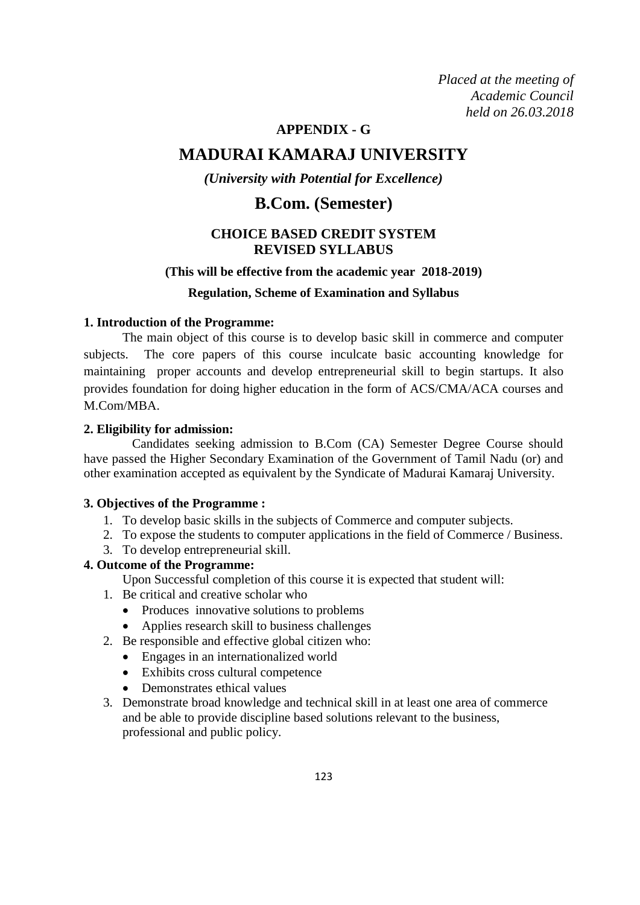*Placed at the meeting of Placed at the meeting of Academic Council Academic Council held on 23.03.2018 held on 26.03.2018*

# **APPENDIX - G**

# **MADURAI KAMARAJ UNIVERSITY**

# *(University with Potential for Excellence)*

# **B.Com. (Semester)**

# **CHOICE BASED CREDIT SYSTEM REVISED SYLLABUS**

#### **(This will be effective from the academic year 2018-2019)**

#### **Regulation, Scheme of Examination and Syllabus**

#### **1. Introduction of the Programme:**

The main object of this course is to develop basic skill in commerce and computer subjects. The core papers of this course inculcate basic accounting knowledge for maintaining proper accounts and develop entrepreneurial skill to begin startups. It also provides foundation for doing higher education in the form of ACS/CMA/ACA courses and M.Com/MBA.

#### **2. Eligibility for admission:**

 Candidates seeking admission to B.Com (CA) Semester Degree Course should have passed the Higher Secondary Examination of the Government of Tamil Nadu (or) and other examination accepted as equivalent by the Syndicate of Madurai Kamaraj University.

#### **3. Objectives of the Programme :**

- 1. To develop basic skills in the subjects of Commerce and computer subjects.
- 2. To expose the students to computer applications in the field of Commerce / Business.
- 3. To develop entrepreneurial skill.

#### **4. Outcome of the Programme:**

- Upon Successful completion of this course it is expected that student will:
- 1. Be critical and creative scholar who
	- Produces innovative solutions to problems
	- Applies research skill to business challenges
- 2. Be responsible and effective global citizen who:
	- Engages in an internationalized world
	- Exhibits cross cultural competence
	- Demonstrates ethical values
- 3. Demonstrate broad knowledge and technical skill in at least one area of commerce and be able to provide discipline based solutions relevant to the business, professional and public policy.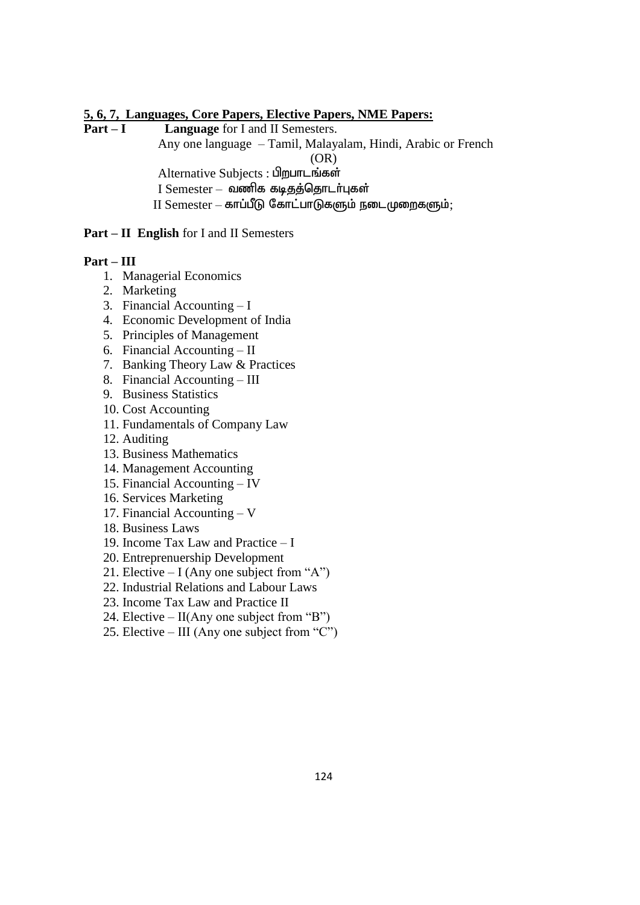# **5, 6, 7, Languages, Core Papers, Elective Papers, NME Papers:**

Language for I and II Semesters. Any one language – Tamil, Malayalam, Hindi, Arabic or French (OR) Alternative Subjects : பிறபாடங்கள்  $I$  Semester – வணிக கடிதத்தொடர்புகள்  $II$  Semester – காப்பீடு கோட்பாடுகளும் நடைமுறைகளும்;

# **Part – II English** for I and II Semesters

# **Part – III**

- 1. Managerial Economics
- 2. Marketing
- 3. Financial Accounting I
- 4. Economic Development of India
- 5. Principles of Management
- 6. Financial Accounting II
- 7. Banking Theory Law & Practices
- 8. Financial Accounting III
- 9. Business Statistics
- 10. Cost Accounting
- 11. Fundamentals of Company Law
- 12. Auditing
- 13. Business Mathematics
- 14. Management Accounting
- 15. Financial Accounting IV
- 16. Services Marketing
- 17. Financial Accounting V
- 18. Business Laws
- 19. Income Tax Law and Practice I
- 20. Entreprenuership Development
- 21. Elective  $-I$  (Any one subject from "A")
- 22. Industrial Relations and Labour Laws
- 23. Income Tax Law and Practice II
- 24. Elective  $II($ Any one subject from "B")
- 25. Elective III (Any one subject from "C")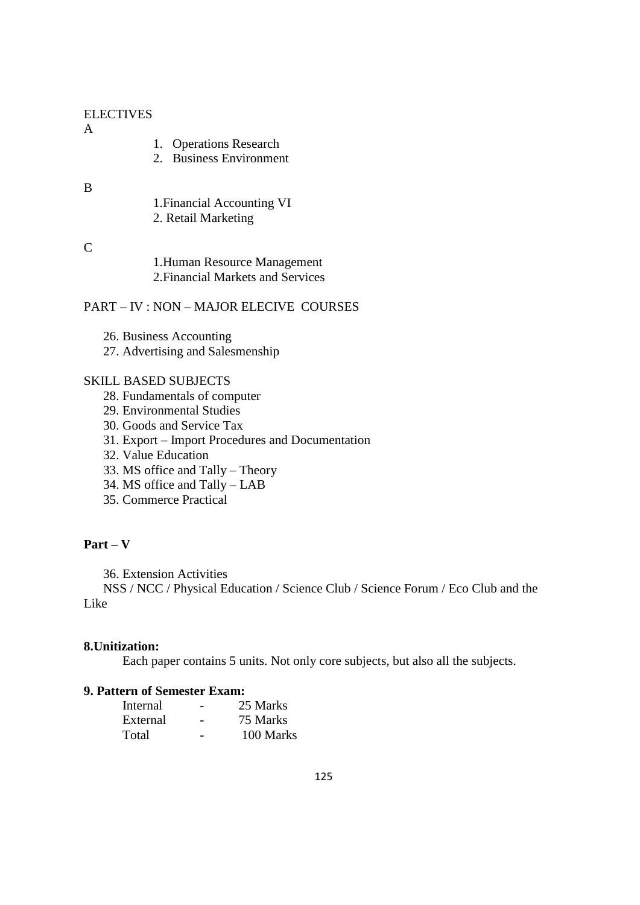# ELECTIVES

#### A

- 1. Operations Research
- 2. Business Environment

# B

- 1.Financial Accounting VI
- 2. Retail Marketing

# $\mathcal{C}$

1.Human Resource Management 2.Financial Markets and Services

# PART – IV : NON – MAJOR ELECIVE COURSES

- 26. Business Accounting
- 27. Advertising and Salesmenship

# SKILL BASED SUBJECTS

- 28. Fundamentals of computer
- 29. Environmental Studies
- 30. Goods and Service Tax
- 31. Export Import Procedures and Documentation
- 32. Value Education
- 33. MS office and Tally Theory
- 34. MS office and Tally LAB
- 35. Commerce Practical

# **Part – V**

36. Extension Activities

 NSS / NCC / Physical Education / Science Club / Science Forum / Eco Club and the Like

# **8.Unitization:**

Each paper contains 5 units. Not only core subjects, but also all the subjects.

# **9. Pattern of Semester Exam:**

| Internal |   | 25 Marks  |
|----------|---|-----------|
| External |   | 75 Marks  |
| Total    | - | 100 Marks |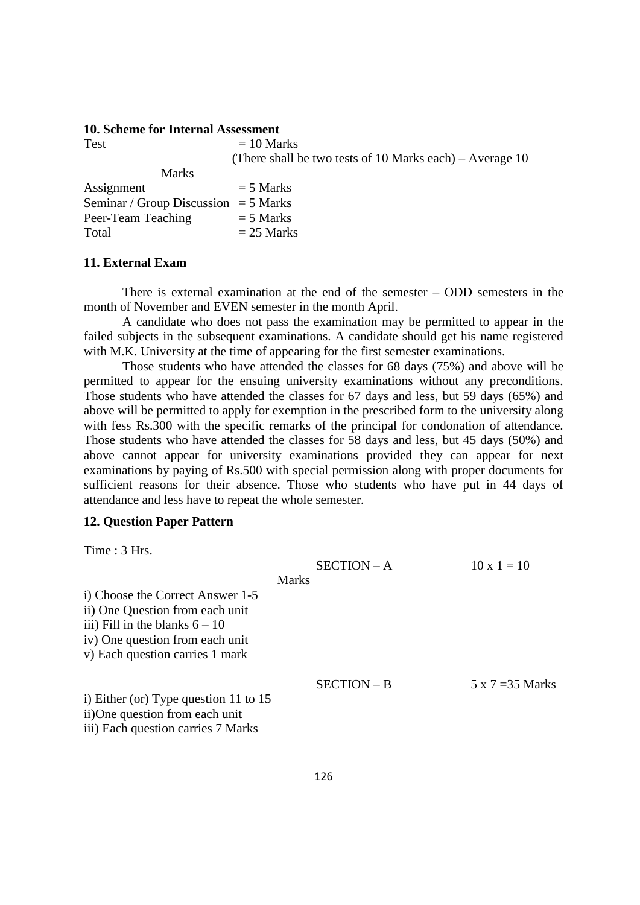#### **10. Scheme for Internal Assessment**

| <b>Test</b>                            | $= 10$ Marks                                             |
|----------------------------------------|----------------------------------------------------------|
|                                        | (There shall be two tests of 10 Marks each) – Average 10 |
| <b>Marks</b>                           |                                                          |
| Assignment                             | $=$ 5 Marks                                              |
| Seminar / Group Discussion = $5$ Marks |                                                          |
| Peer-Team Teaching                     | $=$ 5 Marks                                              |
| Total                                  | $= 25$ Marks                                             |

#### **11. External Exam**

There is external examination at the end of the semester – ODD semesters in the month of November and EVEN semester in the month April.

A candidate who does not pass the examination may be permitted to appear in the failed subjects in the subsequent examinations. A candidate should get his name registered with M.K. University at the time of appearing for the first semester examinations.

Those students who have attended the classes for 68 days (75%) and above will be permitted to appear for the ensuing university examinations without any preconditions. Those students who have attended the classes for 67 days and less, but 59 days (65%) and above will be permitted to apply for exemption in the prescribed form to the university along with fess Rs.300 with the specific remarks of the principal for condonation of attendance. Those students who have attended the classes for 58 days and less, but 45 days (50%) and above cannot appear for university examinations provided they can appear for next examinations by paying of Rs.500 with special permission along with proper documents for sufficient reasons for their absence. Those who students who have put in 44 days of attendance and less have to repeat the whole semester.

#### **12. Question Paper Pattern**

Time : 3 Hrs.

|                                                                                                                                                                               | $SECTION - A$ | $10 \times 1 = 10$      |
|-------------------------------------------------------------------------------------------------------------------------------------------------------------------------------|---------------|-------------------------|
|                                                                                                                                                                               | <b>Marks</b>  |                         |
| i) Choose the Correct Answer 1-5<br>ii) One Question from each unit<br>iii) Fill in the blanks $6 - 10$<br>iv) One question from each unit<br>v) Each question carries 1 mark |               |                         |
| i) Either (or) Type question 11 to $15$<br>ii)One question from each unit                                                                                                     | SECTION - B   | $5 \times 7 = 35$ Marks |
| iii) Each question carries 7 Marks                                                                                                                                            |               |                         |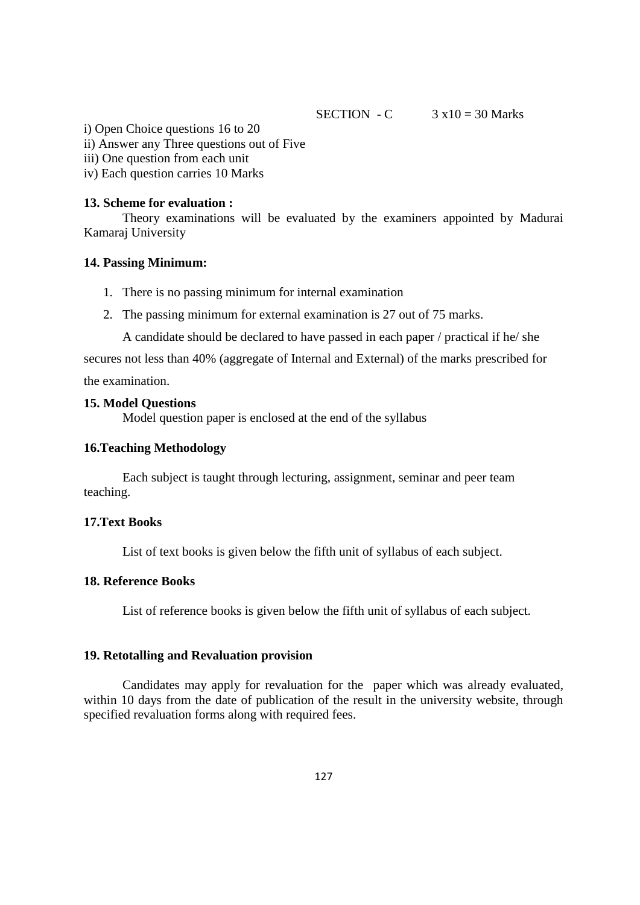SECTION - C  $3 \times 10 = 30$  Marks

i) Open Choice questions 16 to 20

ii) Answer any Three questions out of Five

iii) One question from each unit

iv) Each question carries 10 Marks

### **13. Scheme for evaluation :**

Theory examinations will be evaluated by the examiners appointed by Madurai Kamaraj University

#### **14. Passing Minimum:**

- 1. There is no passing minimum for internal examination
- 2. The passing minimum for external examination is 27 out of 75 marks.

A candidate should be declared to have passed in each paper / practical if he/ she

secures not less than 40% (aggregate of Internal and External) of the marks prescribed for the examination.

# **15. Model Questions**

Model question paper is enclosed at the end of the syllabus

### **16.Teaching Methodology**

Each subject is taught through lecturing, assignment, seminar and peer team teaching.

# **17.Text Books**

List of text books is given below the fifth unit of syllabus of each subject.

# **18. Reference Books**

List of reference books is given below the fifth unit of syllabus of each subject.

# **19. Retotalling and Revaluation provision**

Candidates may apply for revaluation for the paper which was already evaluated, within 10 days from the date of publication of the result in the university website, through specified revaluation forms along with required fees.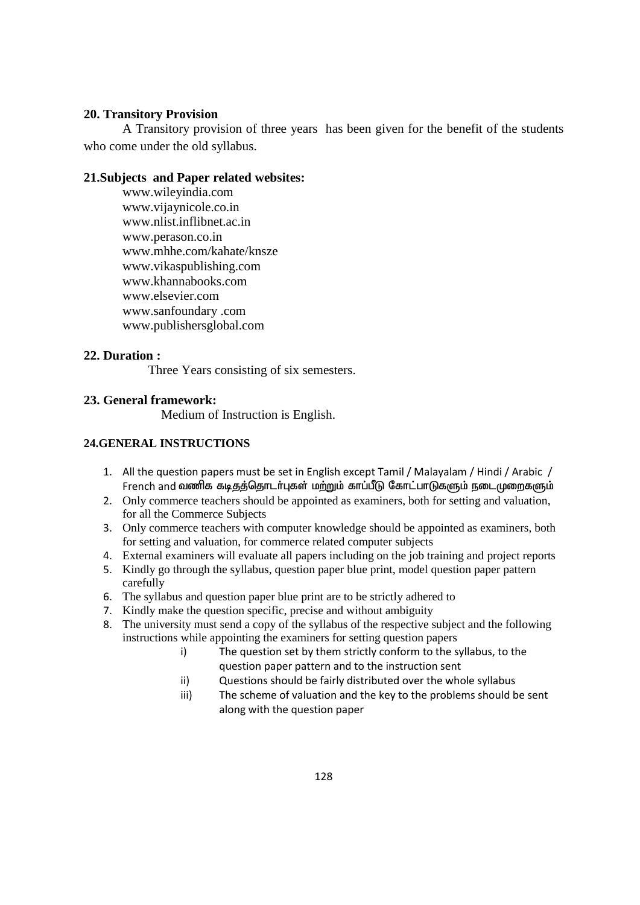# **20. Transitory Provision**

A Transitory provision of three years has been given for the benefit of the students who come under the old syllabus.

# **21.Subjects and Paper related websites:**

www.wileyindia.com www.vijaynicole.co.in www.nlist.inflibnet.ac.in www.perason.co.in www.mhhe.com/kahate/knsze www.vikaspublishing.com www.khannabooks.com www.elsevier.com www.sanfoundary .com www.publishersglobal.com

# **22. Duration :**

Three Years consisting of six semesters.

# **23. General framework:**

Medium of Instruction is English.

# **24.GENERAL INSTRUCTIONS**

- 1. All the question papers must be set in English except Tamil / Malayalam / Hindi / Arabic / French and வணிக கடிதத்தொடர்புகள் மற்றும் காப்பீடு கோட்பாடுகளும் நடைமுறைகளும்
- 2. Only commerce teachers should be appointed as examiners, both for setting and valuation, for all the Commerce Subjects
- 3. Only commerce teachers with computer knowledge should be appointed as examiners, both for setting and valuation, for commerce related computer subjects
- 4. External examiners will evaluate all papers including on the job training and project reports
- 5. Kindly go through the syllabus, question paper blue print, model question paper pattern carefully
- 6. The syllabus and question paper blue print are to be strictly adhered to
- 7. Kindly make the question specific, precise and without ambiguity
- 8. The university must send a copy of the syllabus of the respective subject and the following instructions while appointing the examiners for setting question papers
	- i) The question set by them strictly conform to the syllabus, to the question paper pattern and to the instruction sent
	- ii) Questions should be fairly distributed over the whole syllabus
	- iii) The scheme of valuation and the key to the problems should be sent along with the question paper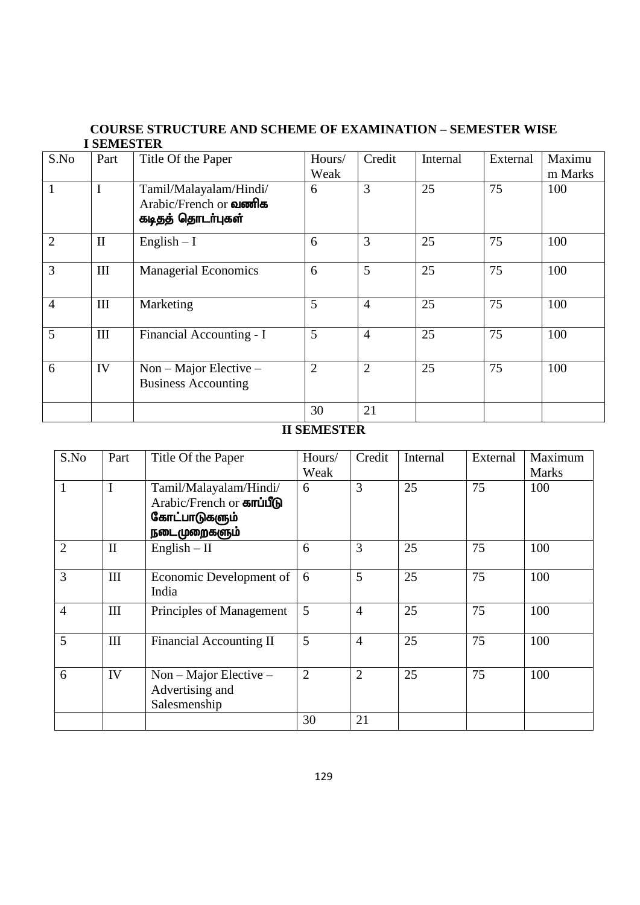# **COURSE STRUCTURE AND SCHEME OF EXAMINATION – SEMESTER WISE I SEMESTER**

| S.No           | Part                             | Title Of the Paper                                                              | Hours/<br>Weak | Credit         | Internal | External | Maximu<br>m Marks |
|----------------|----------------------------------|---------------------------------------------------------------------------------|----------------|----------------|----------|----------|-------------------|
|                |                                  | Tamil/Malayalam/Hindi/<br>Arabic/French or <b>Qloomles</b><br>கடிதத் தொடர்புகள் | 6              | 3              | 25       | 75       | 100               |
| $\overline{2}$ | $\mathbf{I}$                     | $English - I$                                                                   | 6              | 3              | 25       | 75       | 100               |
| 3              | $\mathop{\mathrm{III}}\nolimits$ | <b>Managerial Economics</b>                                                     | 6              | 5              | 25       | 75       | 100               |
| $\overline{4}$ | Ш                                | Marketing                                                                       | 5              | $\overline{4}$ | 25       | 75       | 100               |
| 5              | III                              | Financial Accounting - I                                                        | 5              | $\overline{4}$ | 25       | 75       | 100               |
| 6              | IV                               | $Non-Major Electricive -$<br><b>Business Accounting</b>                         | $\overline{2}$ | $\overline{2}$ | 25       | 75       | 100               |
|                |                                  |                                                                                 | 30             | 21             |          |          |                   |

# **II SEMESTER**

| S.No           | Part         | Title Of the Paper                                                                   | Hours/<br>Weak | Credit         | Internal | External | Maximum<br><b>Marks</b> |
|----------------|--------------|--------------------------------------------------------------------------------------|----------------|----------------|----------|----------|-------------------------|
| $\mathbf{1}$   | $\mathbf I$  | Tamil/Malayalam/Hindi/<br>Arabic/French or காப்பீடு<br>கோட்பாடுகளும்<br>நடைமுறைகளும் | 6              | 3              | 25       | 75       | 100                     |
| $\overline{2}$ | $\mathbf{I}$ | $English - II$                                                                       | 6              | 3              | 25       | 75       | 100                     |
| 3              | III          | Economic Development of<br>India                                                     | 6              | 5              | 25       | 75       | 100                     |
| $\overline{4}$ | III          | Principles of Management                                                             | 5              | $\overline{4}$ | 25       | 75       | 100                     |
| 5              | III          | Financial Accounting II                                                              | 5              | $\overline{4}$ | 25       | 75       | 100                     |
| 6              | IV           | $Non-Major Electricive -$<br>Advertising and<br>Salesmenship                         | $\overline{2}$ | $\overline{2}$ | 25       | 75       | 100                     |
|                |              |                                                                                      | 30             | 21             |          |          |                         |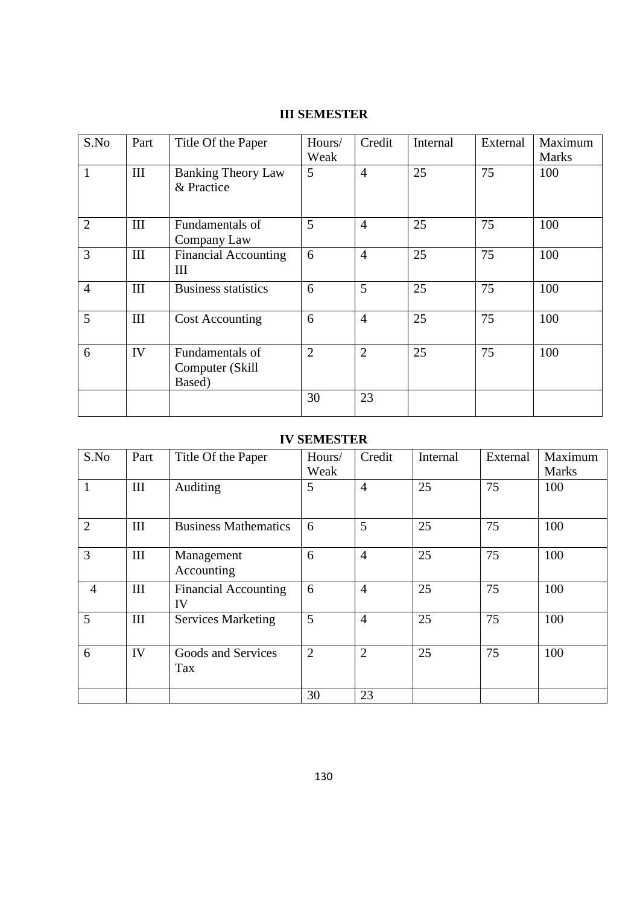# **III SEMESTER**

| S.No           | Part      | Title Of the Paper                            | Hours/<br>Weak | Credit         | Internal | External | Maximum<br><b>Marks</b> |
|----------------|-----------|-----------------------------------------------|----------------|----------------|----------|----------|-------------------------|
| $\mathbf{1}$   | $\rm III$ | <b>Banking Theory Law</b><br>& Practice       | 5              | $\overline{4}$ | 25       | 75       | 100                     |
| $\overline{2}$ | III       | Fundamentals of<br>Company Law                | 5              | $\overline{4}$ | 25       | 75       | 100                     |
| 3              | III       | <b>Financial Accounting</b><br>III            | 6              | $\overline{4}$ | 25       | 75       | 100                     |
| $\overline{4}$ | III       | <b>Business statistics</b>                    | 6              | 5              | 25       | 75       | 100                     |
| 5              | III       | <b>Cost Accounting</b>                        | 6              | $\overline{4}$ | 25       | 75       | 100                     |
| 6              | IV        | Fundamentals of<br>Computer (Skill)<br>Based) | $\overline{2}$ | $\overline{2}$ | 25       | 75       | 100                     |
|                |           |                                               | 30             | 23             |          |          |                         |

# **IV SEMESTER**

| S.No           | Part | Title Of the Paper                | Hours/<br>Weak | Credit         | Internal | External | Maximum<br><b>Marks</b> |
|----------------|------|-----------------------------------|----------------|----------------|----------|----------|-------------------------|
|                |      |                                   |                |                |          |          |                         |
| $\mathbf{1}$   | III  | Auditing                          | 5              | $\overline{4}$ | 25       | 75       | 100                     |
| $\overline{2}$ | III  | <b>Business Mathematics</b>       | 6              | 5              | 25       | 75       | 100                     |
| 3              | III  | Management<br>Accounting          | 6              | $\overline{4}$ | 25       | 75       | 100                     |
| $\overline{4}$ | III  | <b>Financial Accounting</b><br>IV | 6              | $\overline{4}$ | 25       | 75       | 100                     |
| 5              | III  | <b>Services Marketing</b>         | 5              | $\overline{4}$ | 25       | 75       | 100                     |
| 6              | IV   | Goods and Services<br>Tax         | $\overline{2}$ | $\overline{2}$ | 25       | 75       | 100                     |
|                |      |                                   | 30             | 23             |          |          |                         |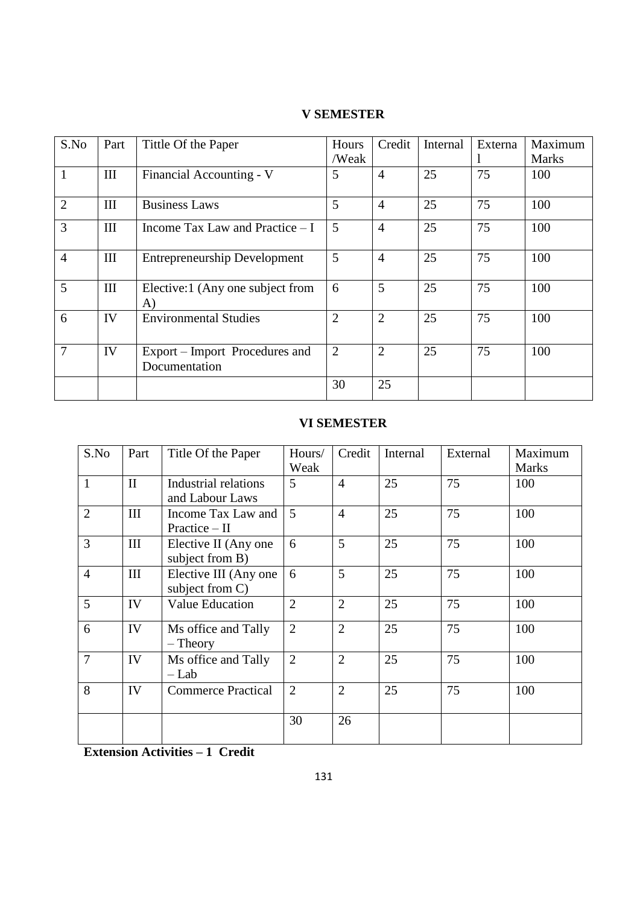|  | <b>V SEMESTER</b> |
|--|-------------------|
|--|-------------------|

| S.No           | Part               | Tittle Of the Paper                             | <b>Hours</b>   | Credit         | Internal | Externa | Maximum      |
|----------------|--------------------|-------------------------------------------------|----------------|----------------|----------|---------|--------------|
|                |                    |                                                 | /Weak          |                |          |         | <b>Marks</b> |
| $\mathbf{1}$   | III                | Financial Accounting - V                        | 5              | $\overline{4}$ | 25       | 75      | 100          |
| $\overline{2}$ | III                | <b>Business Laws</b>                            | 5              | $\overline{4}$ | 25       | 75      | 100          |
| 3              | III                | Income Tax Law and Practice $-I$                | 5              | $\overline{4}$ | 25       | 75      | 100          |
| $\overline{4}$ | $\mathop{\rm III}$ | <b>Entrepreneurship Development</b>             | 5              | $\overline{4}$ | 25       | 75      | 100          |
| 5              | $\mathop{\rm III}$ | Elective:1 (Any one subject from<br>A)          | 6              | 5              | 25       | 75      | 100          |
| 6              | IV                 | <b>Environmental Studies</b>                    | $\overline{2}$ | $\overline{2}$ | 25       | 75      | 100          |
| $\overline{7}$ | IV                 | Export – Import Procedures and<br>Documentation | $\overline{2}$ | $\overline{2}$ | 25       | 75      | 100          |
|                |                    |                                                 | 30             | 25             |          |         |              |

# **VI SEMESTER**

| S.No           | Part         | Title Of the Paper                       | Hours/<br>Weak | Credit         | Internal | External | Maximum<br><b>Marks</b> |
|----------------|--------------|------------------------------------------|----------------|----------------|----------|----------|-------------------------|
| $\mathbf{1}$   | $\mathbf{I}$ | Industrial relations<br>and Labour Laws  | 5              | $\overline{4}$ | 25       | 75       | 100                     |
| $\overline{2}$ | III          | Income Tax Law and<br>Practice $-$ II    | $\overline{5}$ | $\overline{4}$ | 25       | 75       | 100                     |
| $\overline{3}$ | III          | Elective II (Any one)<br>subject from B) | 6              | 5              | 25       | 75       | 100                     |
| $\overline{4}$ | III          | Elective III (Any one<br>subject from C) | 6              | 5              | 25       | 75       | 100                     |
| $\overline{5}$ | IV           | <b>Value Education</b>                   | $\overline{2}$ | $\overline{2}$ | 25       | 75       | 100                     |
| 6              | IV           | Ms office and Tally<br>$-$ Theory        | $\overline{2}$ | $\overline{2}$ | 25       | 75       | 100                     |
| $\overline{7}$ | IV           | Ms office and Tally<br>$-Lab$            | $\overline{2}$ | $\overline{2}$ | 25       | 75       | 100                     |
| 8              | IV           | <b>Commerce Practical</b>                | $\overline{2}$ | $\overline{2}$ | 25       | 75       | 100                     |
|                |              |                                          | 30             | 26             |          |          |                         |

**Extension Activities – 1 Credit**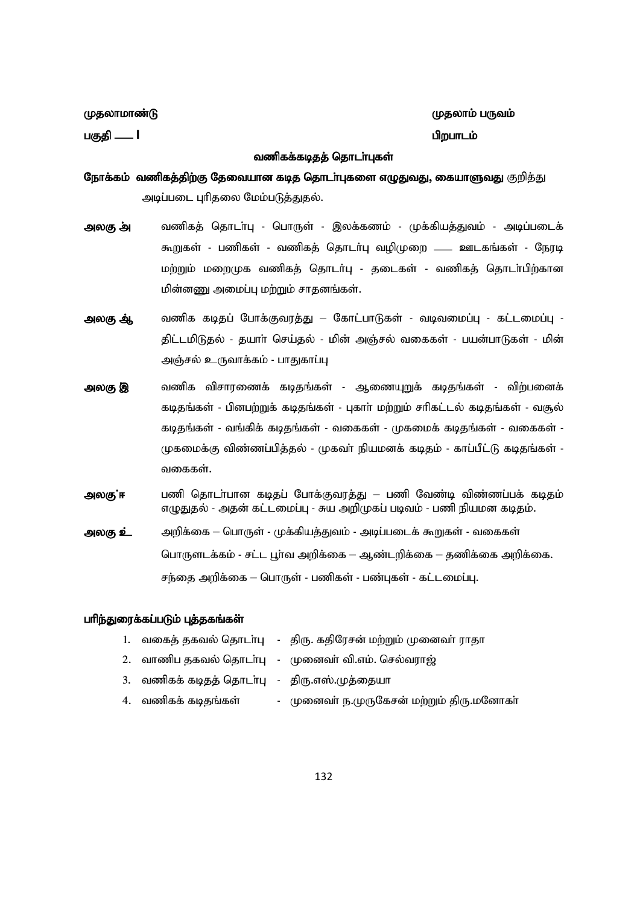பகுதி — **I** gpwghleid – மாவட்டம் – மாவட்டம் – மாவட்டம் – மிறபாடம்

ருதலாமாண்டு குறிப்பிட்டு குறிப்பிட்டு குறிப்பிட்டு குறிப்பிட்டு குறிப்பிட்டு குறிப்பிட்டு குறிப்பிட்டு குறிப்ப

#### வணிகக்கடிதத் தொடா்புகள்

நோக்கம் வணிகத்திற்கு தேவையான கடித தொடர்புகளை எழுதுவது, கையாளுவது குறித்து அடிப்படை புரிதலை மேம்படுத்துதல்.

- **அலகு அ்** வணிகத் தொடா்பு பொருள் இலக்கணம் முக்கியத்துவம் அடிப்படைக் கூறுகள் - பணிகள் - வணிகத் தொடர்பு வழிமுறை —— ஊடகங்கள் - நேரடி மற்றும் மறைமுக வணிகத் தொடர்பு - தடைகள் - வணிகத் தொடா்பிற்கான மின்னணு அமைப்பு மற்றும் சாதனங்கள்.
- <mark>அலகு ஆ்</mark> வணிக கடிதப் போக்குவரத்து கோட்பாடுகள் வடிவமைப்பு கட்டமைப்பு -திட்டமிடுதல் - தயாா் செய்தல் - மின் அஞ்சல் வகைகள் - பயன்பாடுகள் - மின் அஞ்சல் உருவாக்கம் - பாதுகாப்பு
- <mark>அலகு இ</mark> வணிக விசாரணைக் கடிதங்கள் ஆணையுறுக் கடிதங்கள் விற்பனைக் கடிதங்கள் - பினபற்றுக் கடிதங்கள் - புகாா் மற்றும் சாிகட்டல் கடிதங்கள் - வசூல் கடிதங்கள் - வங்கிக் கடிதங்கள் - வகைகள் - முகமைக் கடிதங்கள் - வகைகள் -முகமைக்கு விண்ணப்பித்தல் - முகவா் நியமனக் கடிதம் - காப்பீட்டு கடிதங்கள் -வகைகள்.
- அலகு ்ஈ பணி தொடா்பான கடிதப் போக்குவரத்து பணி வேண்டி விண்ணப்பக் கடிதம் எழுதுதல் - அதன் கட்டமைப்பு - சுய அறிமுகப் படிவம் - பணி நியமன கடிதம்.
- <mark>அலகு உ்</mark>: அறிக்கை பொருள் முக்கியத்துவம் அடிப்படைக் கூறுகள் வகைகள் பொருளடக்கம் - சட்ட பூா்வ அறிக்கை — ஆண்டறிக்கை — தணிக்கை அறிக்கை. சந்தை அறிக்கை – பொருள் - பணிகள் - பண்புகள் - கட்டமைப்பு.

#### பரிந்துரைக்கப்படும் புத்தகங்கள்

|                                              | 1. வகைத் தகவல் தொடா்பு   -   திரு. கதிரேசன் மற்றும் முனைவா் ராதா |
|----------------------------------------------|------------------------------------------------------------------|
|                                              | 2.   வாணிப தகவல் தொடா்பு    -   முனைவா் வி.எம். செல்வராஜ்        |
| 3. வணிகக் கடிதத் தொடா்பு - திரு.எஸ்.முத்தையா |                                                                  |
| 4. வணிகக் கடிதங்கள்                          | - முனைவா் ந.முருகேசன் மற்றும் திரு.மனோகா்                        |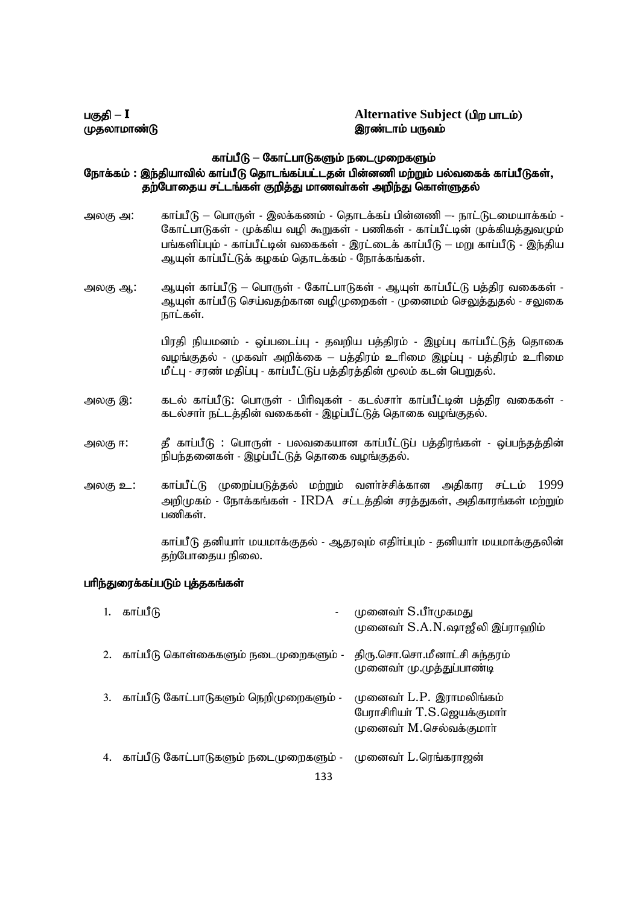#### gFjp **– I Alternative Subject (**gpw ghlk;) முதலாமாண்டு முடி முதலாமாம் படுவம்

#### காப்பீடு – கோட்பாடுகளும் நடைமுறைகளும்

# நோக்கம் : இந்தியாவில் காப்பீடு தொடங்கப்பட்டதன் பின்னணி மற்றும் பல்வகைக் காப்பீடுகள், தற்போதைய சட்டங்கள் குறித்து மாணவா்கள் அறிந்து கொள்ளுதல்

- அலகு அ: காப்பீடு பொருள் இலக்கணம் தொடக்கப் பின்னணி நாட்டுடமையாக்கம் -கோட்பாடுகள் - முக்கிய வழி கூறுகள் - பணிகள் - காப்பீட்டின் முக்கியத்துவமும் பங்களிப்பும் - காப்பீட்டின் வகைகள் - இரட்டைக் காப்பீடு – மறு காப்பீடு - இந்திய ஆயுள் காப்பீட்டுக் கழகம் தொடக்கம் - நோக்கங்கள்.
- அலகு ஆ: அையுள் காப்பீடு பொருள் கோட்பாடுகள் ஆயுள் காப்பீட்டு பத்திர வகைகள் -ஆயுள் காப்பீடு செய்வதற்கான வழிமுறைகள் - முனைமம் செலுத்துதல் - சலுகை நாட்கள்.

பிரதி நியமனம் - ஒப்படைப்பு - தவறிய பத்திரம் - இழப்பு காப்பீட்டுத் தொகை வழங்குதல் - முகவா் அறிக்கை – பத்திரம் உாிமை இழப்பு - பத்திரம் உாிமை மீட்பு - சரண் மதிப்பு - காப்பீட்டுப் பத்திரத்தின் மூலம் கடன் பெறுதல்.

- அலகு இ: கடல் காப்பீடு: பொருள் பிாிவுகள் கடல்சாா் காப்பீட்டின் பத்திர வகைகள் -கடல்சாா் நட்டத்தின் வகைகள் - இழப்பீட்டுத் தொகை வழங்குதல்.
- அலகு ஈ: தீ காப்பீடு : பொருள் - பலவகையான காப்பீட்டுப் பத்திரங்கள் - வப்பந்தத்தின் நிபந்தனைகள் - இழப்பீட்டுத் தொகை வழங்குதல்.
- அலகு உ: காப்பீட்டு முறைப்படுத்தல் மற்றும் வளா்ச்சிக்கான அதிகார சட்டம் 1999 அறிமுகம் - நோக்கங்கள் - IRDA சட்டத்தின் சாத்துகள், அதிகாரங்கள் மற்றும் பணிகள்.

காப்பீடு தனியாா் மயமாக்குதல் - ஆதரவும் எதிா்ப்பும் - தனியாா் மயமாக்குதலின் தற்போதைய நிலை.

#### பரிந்துரைக்கப்படும் புத்தகங்கள்

|    | காப்பீடு                                     | முனைவா் S.பீாமுகமது<br>முனைவா் S.A.N.ஷாஜீலி இப்ராஹிம்                              |
|----|----------------------------------------------|------------------------------------------------------------------------------------|
|    | காப்பீடு கொள்கைகளும் நடைமுறைகளும் -          | திரு.சொ.சொ.மீனாட்சி சுந்தரம்<br>முனைவா் மு.முத்துப்பாண்டி                          |
| 3. | காப்பீடு கோட்பாடுகளும் நெறிமுறைகளும் -       | முனைவா் L.P. இராமலிங்கம்<br>பேராசிரியா் T.S.ஜெயக்குமாா்<br>முனைவா் M.செல்வக்குமாா் |
| 4. | காப்பீடு கோட்பாடுகளும் நடைமுறைகளும் -<br>133 | முனைவா் L.ரெங்கராஜன்                                                               |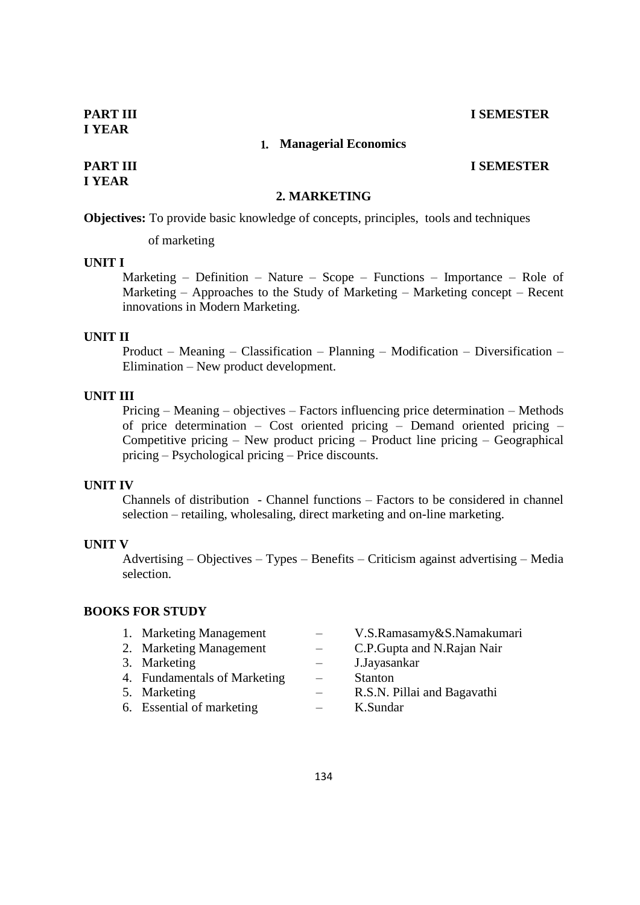# **I YEAR**

# 1. **Managerial Economics**

# **I YEAR**

# **PART III I SEMESTER**

# **2. MARKETING**

**Objectives:** To provide basic knowledge of concepts, principles, tools and techniques

of marketing

### **UNIT I**

Marketing – Definition – Nature – Scope – Functions – Importance – Role of Marketing – Approaches to the Study of Marketing – Marketing concept – Recent innovations in Modern Marketing.

#### **UNIT II**

Product – Meaning – Classification – Planning – Modification – Diversification – Elimination – New product development.

# **UNIT III**

Pricing – Meaning – objectives – Factors influencing price determination – Methods of price determination – Cost oriented pricing – Demand oriented pricing – Competitive pricing – New product pricing – Product line pricing – Geographical pricing – Psychological pricing – Price discounts.

# **UNIT IV**

Channels of distribution - Channel functions – Factors to be considered in channel selection – retailing, wholesaling, direct marketing and on-line marketing.

# **UNIT V**

Advertising – Objectives – Types – Benefits – Criticism against advertising – Media selection.

# **BOOKS FOR STUDY**

| 1. Marketing Management      | V.S.Ramasamy&S.Namakumari    |
|------------------------------|------------------------------|
| 2. Marketing Management      | C.P. Gupta and N. Rajan Nair |
| 3. Marketing                 | J.Jayasankar                 |
| 4. Fundamentals of Marketing | <b>Stanton</b>               |
| 5. Marketing                 | R.S.N. Pillai and Bagavathi  |
| 6. Essential of marketing    | K.Sundar                     |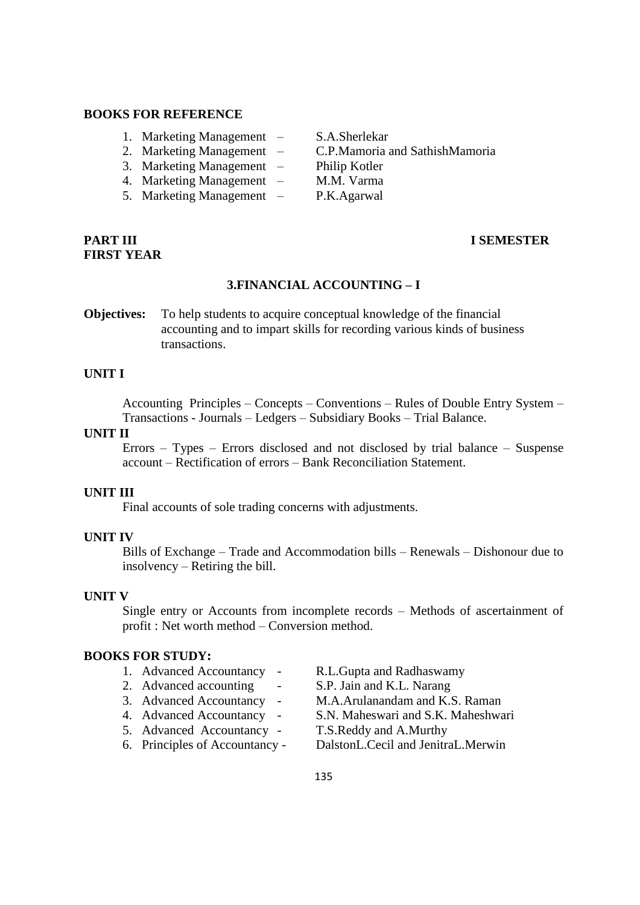### **BOOKS FOR REFERENCE**

- 1. Marketing Management S.A.Sherlekar
- 
- 3. Marketing Management Philip Kotler
- 4. Marketing Management M.M. Varma
- 5. Marketing Management P.K.Agarwal

# **FIRST YEAR**

- 2. Marketing Management C.P.Mamoria and SathishMamoria
	-
	-
	-

# **PART III I SEMESTER**

# **3.FINANCIAL ACCOUNTING – I**

**Objectives:** To help students to acquire conceptual knowledge of the financial accounting and to impart skills for recording various kinds of business transactions.

# **UNIT I**

Accounting Principles – Concepts – Conventions – Rules of Double Entry System – Transactions - Journals – Ledgers – Subsidiary Books – Trial Balance.

#### **UNIT II**

Errors – Types – Errors disclosed and not disclosed by trial balance – Suspense account – Rectification of errors – Bank Reconciliation Statement.

#### **UNIT III**

Final accounts of sole trading concerns with adjustments.

#### **UNIT IV**

Bills of Exchange – Trade and Accommodation bills – Renewals – Dishonour due to insolvency – Retiring the bill.

#### **UNIT V**

Single entry or Accounts from incomplete records – Methods of ascertainment of profit : Net worth method – Conversion method.

#### **BOOKS FOR STUDY:**

- 
- 
- 
- 
- 5. Advanced Accountancy T.S.Reddy and A.Murthy
- 
- 1. Advanced Accountancy R.L.Gupta and Radhaswamy
- 2. Advanced accounting S.P. Jain and K.L. Narang
- 3. Advanced Accountancy M.A.Arulanandam and K.S. Raman
- 4. Advanced Accountancy S.N. Maheswari and S.K. Maheshwari
	-
- 6. Principles of Accountancy DalstonL.Cecil and JenitraL.Merwin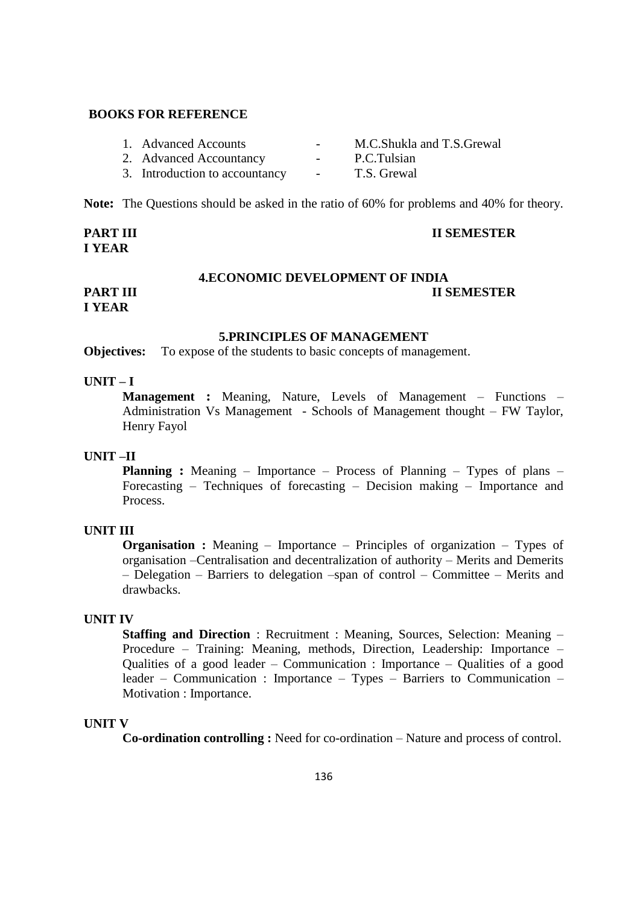# **BOOKS FOR REFERENCE**

| 1. Advanced Accounts           | $\overline{\phantom{a}}$ | M.C.Shukla and T.S.Grewal |
|--------------------------------|--------------------------|---------------------------|
| 2. Advanced Accountancy        | $\sim$ 100 $\mu$         | P.C.Tulsian               |
| 3. Introduction to accountancy | $\sim$ 100 $\mu$         | T.S. Grewal               |

**Note:** The Questions should be asked in the ratio of 60% for problems and 40% for theory.

**PART III II SEMESTER I YEAR**

#### **4.ECONOMIC DEVELOPMENT OF INDIA**

# **PART III II SEMESTER I YEAR**

#### **5.PRINCIPLES OF MANAGEMENT**

**Objectives:** To expose of the students to basic concepts of management.

# **UNIT – I**

**Management :** Meaning, Nature, Levels of Management – Functions – Administration Vs Management - Schools of Management thought – FW Taylor, Henry Fayol

#### **UNIT –II**

**Planning :** Meaning – Importance – Process of Planning – Types of plans – Forecasting – Techniques of forecasting – Decision making – Importance and Process.

#### **UNIT III**

**Organisation :** Meaning – Importance – Principles of organization – Types of organisation –Centralisation and decentralization of authority – Merits and Demerits – Delegation – Barriers to delegation –span of control – Committee – Merits and drawbacks.

#### **UNIT IV**

**Staffing and Direction** : Recruitment : Meaning, Sources, Selection: Meaning – Procedure – Training: Meaning, methods, Direction, Leadership: Importance – Qualities of a good leader – Communication : Importance – Qualities of a good leader – Communication : Importance – Types – Barriers to Communication – Motivation : Importance.

# **UNIT V**

**Co-ordination controlling :** Need for co-ordination – Nature and process of control.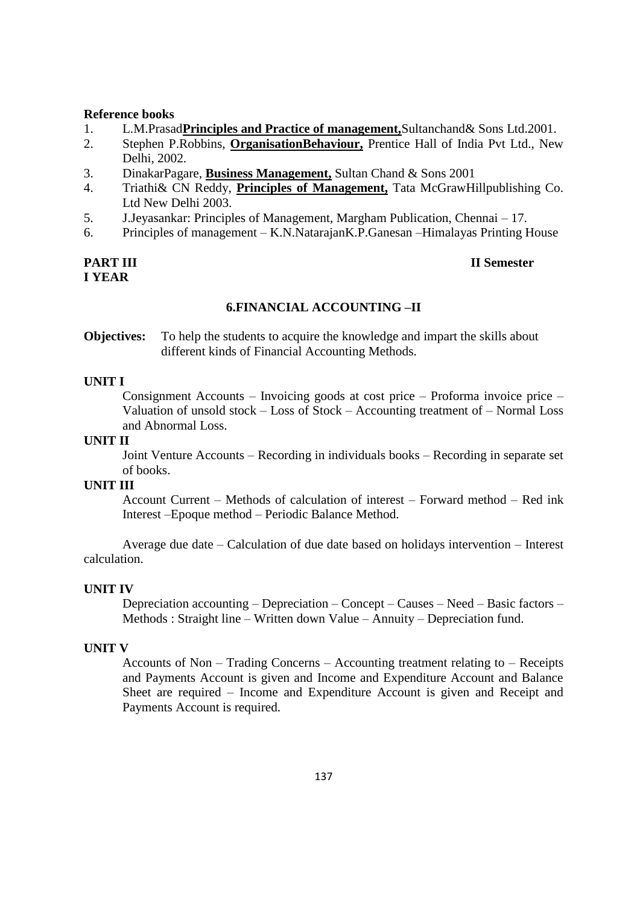#### **Reference books**

- 1. L.M.Prasad**Principles and Practice of management,**Sultanchand& Sons Ltd.2001.
- 2. Stephen P.Robbins, **OrganisationBehaviour,** Prentice Hall of India Pvt Ltd., New Delhi, 2002.
- 3. DinakarPagare, **Business Management,** Sultan Chand & Sons 2001
- 4. Triathi& CN Reddy, **Principles of Management,** Tata McGrawHillpublishing Co. Ltd New Delhi 2003.
- 5. J.Jeyasankar: Principles of Management, Margham Publication, Chennai 17.
- 6. Principles of management K.N.NatarajanK.P.Ganesan –Himalayas Printing House

# **I YEAR**

# **PART III II Semester**

# **6.FINANCIAL ACCOUNTING –II**

**Objectives:** To help the students to acquire the knowledge and impart the skills about different kinds of Financial Accounting Methods.

#### **UNIT I**

Consignment Accounts – Invoicing goods at cost price – Proforma invoice price – Valuation of unsold stock – Loss of Stock – Accounting treatment of – Normal Loss and Abnormal Loss.

#### **UNIT II**

Joint Venture Accounts – Recording in individuals books – Recording in separate set of books.

### **UNIT III**

Account Current – Methods of calculation of interest – Forward method – Red ink Interest –Epoque method – Periodic Balance Method.

Average due date – Calculation of due date based on holidays intervention – Interest calculation.

#### **UNIT IV**

Depreciation accounting – Depreciation – Concept – Causes – Need – Basic factors – Methods : Straight line – Written down Value – Annuity – Depreciation fund.

#### **UNIT V**

Accounts of Non – Trading Concerns – Accounting treatment relating to – Receipts and Payments Account is given and Income and Expenditure Account and Balance Sheet are required – Income and Expenditure Account is given and Receipt and Payments Account is required.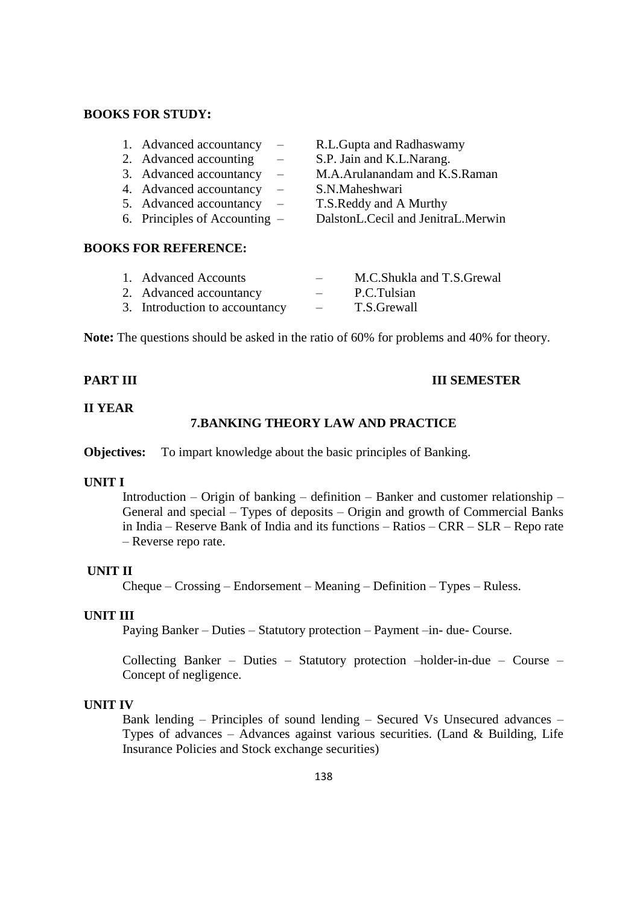# **BOOKS FOR STUDY:**

| 1. Advanced accountancy         | $\overline{\phantom{m}}$ | R.L.Gupta and Radhaswamy           |
|---------------------------------|--------------------------|------------------------------------|
| 2. Advanced accounting          | $\equiv$                 | S.P. Jain and K.L.Narang.          |
| 3. Advanced accountancy         | $\overline{\phantom{m}}$ | M.A.Arulanandam and K.S.Raman      |
| 4. Advanced accountancy         | $\overline{\phantom{m}}$ | S.N.Maheshwari                     |
| 5. Advanced accountancy         | $\overline{\phantom{m}}$ | T.S. Reddy and A Murthy            |
| 6. Principles of Accounting $-$ |                          | DalstonL.Cecil and JenitraL.Merwin |
|                                 |                          |                                    |

#### **BOOKS FOR REFERENCE:**

| 1. Advanced Accounts           | $\overline{\phantom{0}}$ | M.C.Shukla and T.S.Grewal |
|--------------------------------|--------------------------|---------------------------|
| 2. Advanced accountancy        | $\overline{\phantom{a}}$ | P.C.Tulsian               |
| 3. Introduction to accountancy | $\overline{\phantom{0}}$ | T.S.Grewall               |

**Note:** The questions should be asked in the ratio of 60% for problems and 40% for theory.

#### **PART III III SEMESTER**

#### **II YEAR**

# **7.BANKING THEORY LAW AND PRACTICE**

**Objectives:** To impart knowledge about the basic principles of Banking.

#### **UNIT I**

Introduction – Origin of banking – definition – Banker and customer relationship – General and special – Types of deposits – Origin and growth of Commercial Banks in India – Reserve Bank of India and its functions – Ratios – CRR – SLR – Repo rate – Reverse repo rate.

#### **UNIT II**

Cheque – Crossing – Endorsement – Meaning – Definition – Types – Ruless.

#### **UNIT III**

Paying Banker – Duties – Statutory protection – Payment –in- due- Course.

Collecting Banker – Duties – Statutory protection –holder-in-due – Course – Concept of negligence.

#### **UNIT IV**

Bank lending – Principles of sound lending – Secured Vs Unsecured advances – Types of advances – Advances against various securities. (Land  $\&$  Building, Life Insurance Policies and Stock exchange securities)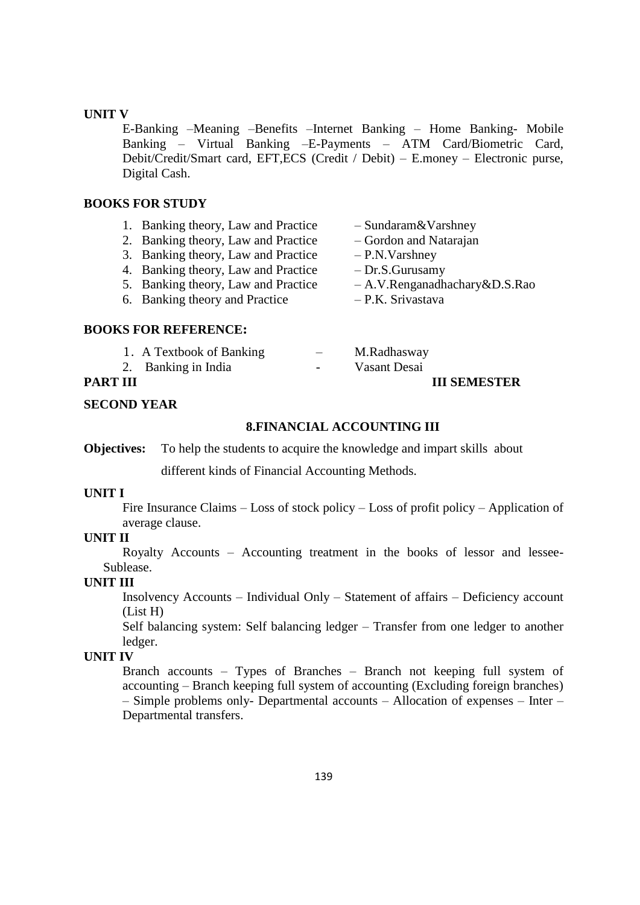#### **UNIT V**

E-Banking –Meaning –Benefits –Internet Banking – Home Banking- Mobile Banking – Virtual Banking –E-Payments – ATM Card/Biometric Card, Debit/Credit/Smart card, EFT,ECS (Credit / Debit) – E.money – Electronic purse, Digital Cash.

#### **BOOKS FOR STUDY**

| 1. Banking theory, Law and Practice | $-$ Sundaram & Varshney       |
|-------------------------------------|-------------------------------|
| 2. Banking theory, Law and Practice | - Gordon and Natarajan        |
| 3. Banking theory, Law and Practice | $-P.N. Varshney$              |
| 4. Banking theory, Law and Practice | $-Dr.S.Gurusamy$              |
| 5. Banking theory, Law and Practice | - A.V.Renganadhachary&D.S.Rao |
| 6. Banking theory and Practice      | - P.K. Srivastava             |
| <b>BOOKS FOR REFERENCE:</b>         |                               |

# 1. A Textbook of Banking 1. A Textbook of Banking  $-$  M. Radhasway<br>2. Banking in India  $-$  Vasant Desai **PART III III SEMESTER**

**SECOND YEAR**

#### **8.FINANCIAL ACCOUNTING III**

**Objectives:** To help the students to acquire the knowledge and impart skills about

different kinds of Financial Accounting Methods.

#### **UNIT I**

Fire Insurance Claims – Loss of stock policy – Loss of profit policy – Application of average clause.

#### **UNIT II**

Royalty Accounts – Accounting treatment in the books of lessor and lessee-Sublease.

# **UNIT III**

Insolvency Accounts – Individual Only – Statement of affairs – Deficiency account (List H)

Self balancing system: Self balancing ledger – Transfer from one ledger to another ledger.

# **UNIT IV**

Branch accounts – Types of Branches – Branch not keeping full system of accounting – Branch keeping full system of accounting (Excluding foreign branches) – Simple problems only- Departmental accounts – Allocation of expenses – Inter – Departmental transfers.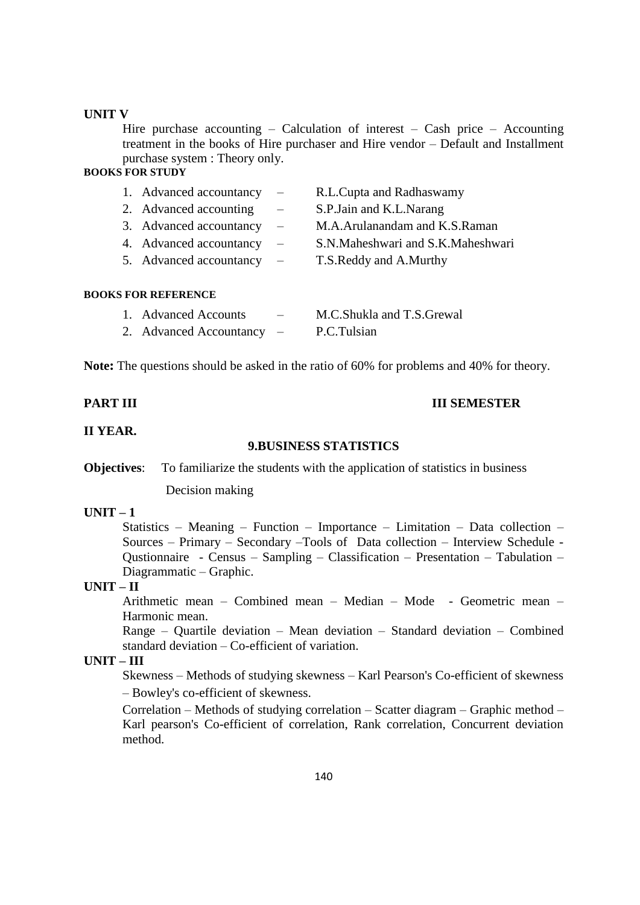#### **UNIT V**

Hire purchase accounting  $-$  Calculation of interest  $-$  Cash price  $-$  Accounting treatment in the books of Hire purchaser and Hire vendor – Default and Installment purchase system : Theory only.

# **BOOKS FOR STUDY**

| 1. Advanced accountancy | $\equiv$                 | R.L.Cupta and Radhaswamy          |
|-------------------------|--------------------------|-----------------------------------|
| 2. Advanced accounting  |                          | S.P. Jain and K.L. Narang         |
| 3. Advanced accountancy |                          | M.A.Arulanandam and K.S.Raman     |
| 4. Advanced accountancy |                          | S.N.Maheshwari and S.K.Maheshwari |
| 5. Advanced accountancy | $\overline{\phantom{m}}$ | T.S. Reddy and A. Murthy          |
|                         |                          |                                   |
|                         |                          |                                   |

#### **BOOKS FOR REFERENCE**

| 1. Advanced Accounts    | $-$                      | M.C.Shukla and T.S.Grewal |
|-------------------------|--------------------------|---------------------------|
| 2. Advanced Accountancy | $\overline{\phantom{0}}$ | P.C.Tulsian               |

**Note:** The questions should be asked in the ratio of 60% for problems and 40% for theory.

#### **PART III III SEMESTER**

#### **II YEAR.**

#### **9.BUSINESS STATISTICS**

**Objectives:** To familiarize the students with the application of statistics in business

Decision making

# **UNIT – 1**

Statistics – Meaning – Function – Importance – Limitation – Data collection – Sources – Primary – Secondary –Tools of Data collection – Interview Schedule - Qustionnaire - Census – Sampling – Classification – Presentation – Tabulation – Diagrammatic – Graphic.

#### **UNIT – II**

Arithmetic mean – Combined mean – Median – Mode - Geometric mean – Harmonic mean.

Range – Quartile deviation – Mean deviation – Standard deviation – Combined standard deviation – Co-efficient of variation.

# **UNIT – III**

Skewness – Methods of studying skewness – Karl Pearson's Co-efficient of skewness – Bowley's co-efficient of skewness.

Correlation – Methods of studying correlation – Scatter diagram – Graphic method – Karl pearson's Co-efficient of correlation, Rank correlation, Concurrent deviation method.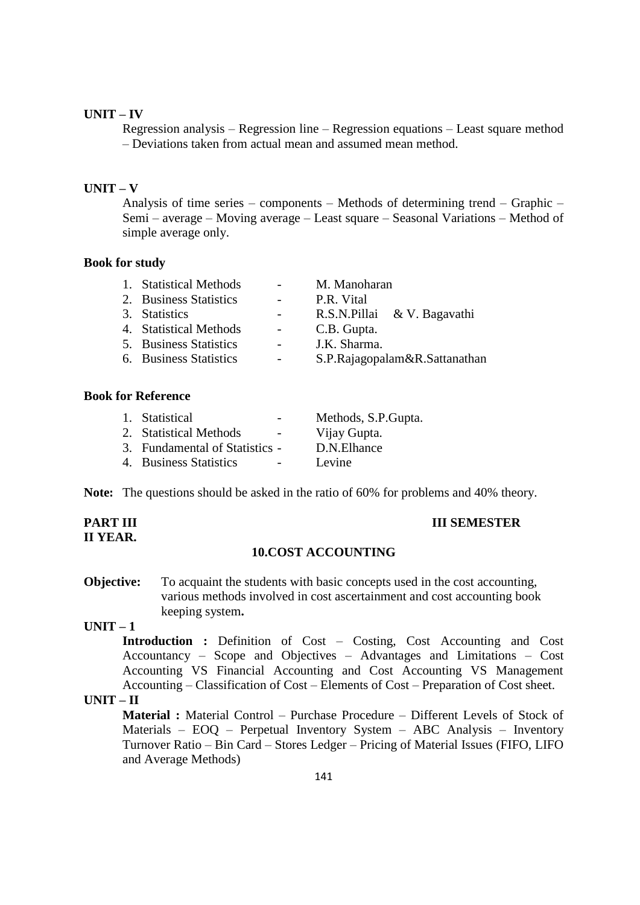# **UNIT – IV**

Regression analysis – Regression line – Regression equations – Least square method – Deviations taken from actual mean and assumed mean method.

#### **UNIT – V**

Analysis of time series – components – Methods of determining trend – Graphic – Semi – average – Moving average – Least square – Seasonal Variations – Method of simple average only.

#### **Book for study**

| 1. Statistical Methods | $\sim$ 100 $\mu$ | M. Manoharan                  |
|------------------------|------------------|-------------------------------|
| 2. Business Statistics | $\sim$ $ \sim$   | P.R. Vital                    |
| 3. Statistics          |                  | R.S.N.Pillai & V. Bagavathi   |
| 4. Statistical Methods | $\sim 100$       | C.B. Gupta.                   |
| 5. Business Statistics | $\sim 100$       | J.K. Sharma.                  |
| 6. Business Statistics |                  | S.P.Rajagopalam&R.Sattanathan |

# **Book for Reference**

| 1. Statistical                 | Methods, S.P. Gupta. |
|--------------------------------|----------------------|
| 2. Statistical Methods         | Vijay Gupta.         |
| 3. Fundamental of Statistics - | D.N.Elhance          |
| 4. Business Statistics         | Levine               |

**Note:** The questions should be asked in the ratio of 60% for problems and 40% theory.

# **II YEAR.**

#### **PART III III SEMESTER**

#### **10.COST ACCOUNTING**

**Objective:** To acquaint the students with basic concepts used in the cost accounting, various methods involved in cost ascertainment and cost accounting book keeping system**.**

# **UNIT – 1**

**Introduction :** Definition of Cost – Costing, Cost Accounting and Cost Accountancy – Scope and Objectives – Advantages and Limitations – Cost Accounting VS Financial Accounting and Cost Accounting VS Management Accounting – Classification of Cost – Elements of Cost – Preparation of Cost sheet.

# **UNIT – II**

**Material :** Material Control – Purchase Procedure – Different Levels of Stock of Materials – EOQ – Perpetual Inventory System – ABC Analysis – Inventory Turnover Ratio – Bin Card – Stores Ledger – Pricing of Material Issues (FIFO, LIFO and Average Methods)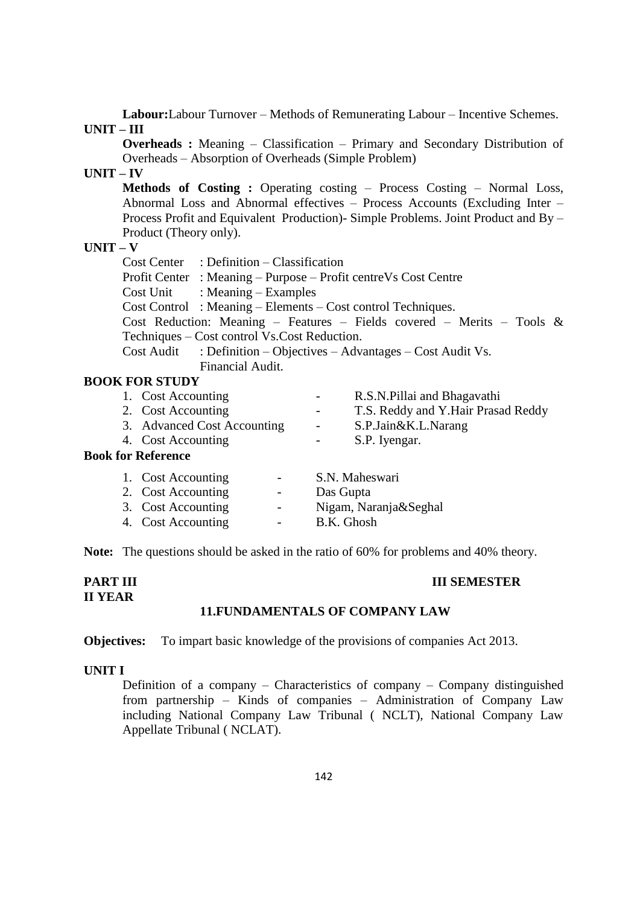**Labour:**Labour Turnover – Methods of Remunerating Labour – Incentive Schemes. **UNIT – III**

**Overheads :** Meaning – Classification – Primary and Secondary Distribution of Overheads – Absorption of Overheads (Simple Problem)

# **UNIT – IV**

**Methods of Costing :** Operating costing – Process Costing – Normal Loss, Abnormal Loss and Abnormal effectives – Process Accounts (Excluding Inter – Process Profit and Equivalent Production)- Simple Problems. Joint Product and By – Product (Theory only).

# **UNIT – V**

Cost Center : Definition – Classification Profit Center : Meaning – Purpose – Profit centreVs Cost Centre Cost Unit : Meaning – Examples Cost Control : Meaning – Elements – Cost control Techniques. Cost Reduction: Meaning – Features – Fields covered – Merits – Tools & Techniques – Cost control Vs.Cost Reduction. Cost Audit : Definition – Objectives – Advantages – Cost Audit Vs. Financial Audit.

#### **BOOK FOR STUDY**

| 1. Cost Accounting          | $\sim$ 100 $\mu$ | R.S.N. Pillai and Bhagavathi       |
|-----------------------------|------------------|------------------------------------|
| 2. Cost Accounting          | $\sim 100$       | T.S. Reddy and Y.Hair Prasad Reddy |
| 3. Advanced Cost Accounting | $\sim$           | S.P.Jain&K.L.Narang                |
| 4. Cost Accounting          |                  | S.P. Iyengar.                      |
| for Reference               |                  |                                    |
| 1. Cost Accounting          |                  | S.N. Maheswari                     |

# **Book**

| 1. Cost Accounting | $\sim$ | S.N. Maheswari        |
|--------------------|--------|-----------------------|
| 2. Cost Accounting | $\sim$ | Das Gupta             |
| 3. Cost Accounting | $\sim$ | Nigam, Naranja&Seghal |
| 4. Cost Accounting | $\sim$ | B.K. Ghosh            |

**Note:** The questions should be asked in the ratio of 60% for problems and 40% theory.

#### **PART III III** SEMESTER **II YEAR 11.FUNDAMENTALS OF COMPANY LAW**

**Objectives:** To impart basic knowledge of the provisions of companies Act 2013.

#### **UNIT I**

Definition of a company – Characteristics of company – Company distinguished from partnership – Kinds of companies – Administration of Company Law including National Company Law Tribunal ( NCLT), National Company Law Appellate Tribunal ( NCLAT).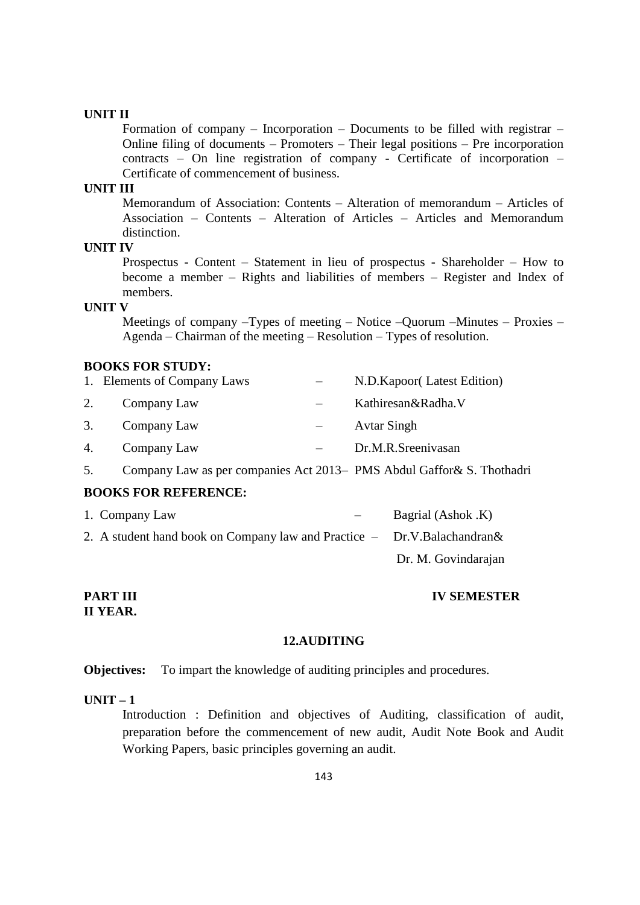Formation of company – Incorporation – Documents to be filled with registrar – Online filing of documents – Promoters – Their legal positions – Pre incorporation contracts – On line registration of company - Certificate of incorporation – Certificate of commencement of business.

#### **UNIT III**

Memorandum of Association: Contents – Alteration of memorandum – Articles of Association – Contents – Alteration of Articles – Articles and Memorandum distinction.

# **UNIT IV**

Prospectus - Content – Statement in lieu of prospectus - Shareholder – How to become a member – Rights and liabilities of members – Register and Index of members.

#### **UNIT V**

Meetings of company –Types of meeting – Notice –Quorum –Minutes – Proxies – Agenda – Chairman of the meeting – Resolution – Types of resolution.

## **BOOKS FOR STUDY:**

|    | 1. Elements of Company Laws | N.D.Kapoor(Latest Edition) |
|----|-----------------------------|----------------------------|
| 2. | Company Law                 | Kathiresan&Radha.V         |
| 3. | Company Law                 | <b>Avtar Singh</b>         |
| 4. | Company Law                 | Dr.M.R.Sreenivasan         |

5. Company Law as per companies Act 2013– PMS Abdul Gaffor& S. Thothadri

# **BOOKS FOR REFERENCE:**

| 1. Company Law                                                             | Bagrial (Ashok .K)  |
|----------------------------------------------------------------------------|---------------------|
| 2. A student hand book on Company law and Practice $-$ Dr.V.Balachandran & |                     |
|                                                                            | Dr. M. Govindarajan |

# **II YEAR.**

**PART III IV SEMESTER**

#### **12.AUDITING**

#### **Objectives:** To impart the knowledge of auditing principles and procedures.

#### **UNIT – 1**

Introduction : Definition and objectives of Auditing, classification of audit, preparation before the commencement of new audit, Audit Note Book and Audit Working Papers, basic principles governing an audit.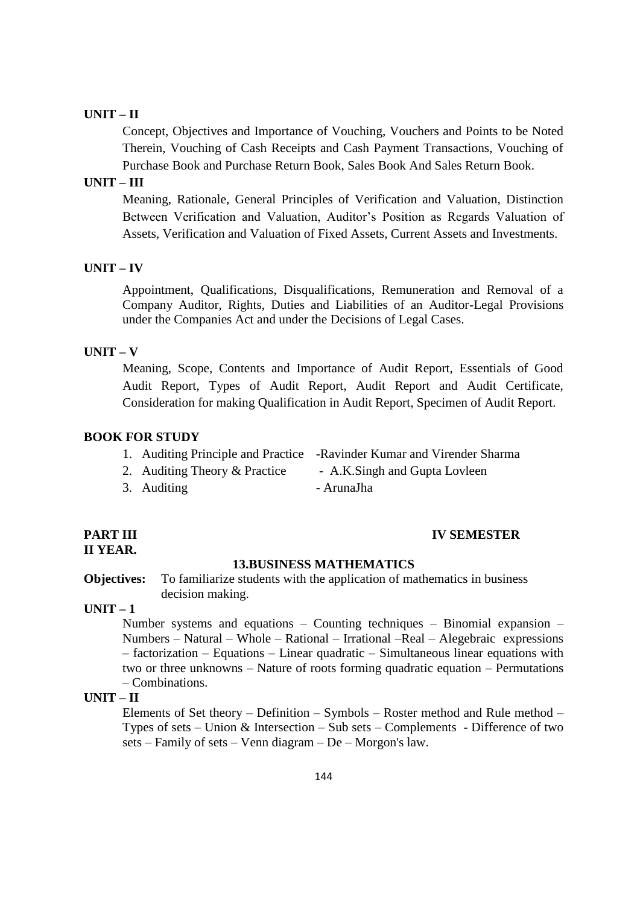# **UNIT – II**

Concept, Objectives and Importance of Vouching, Vouchers and Points to be Noted Therein, Vouching of Cash Receipts and Cash Payment Transactions, Vouching of Purchase Book and Purchase Return Book, Sales Book And Sales Return Book.

# **UNIT – III**

Meaning, Rationale, General Principles of Verification and Valuation, Distinction Between Verification and Valuation, Auditor"s Position as Regards Valuation of Assets, Verification and Valuation of Fixed Assets, Current Assets and Investments.

#### **UNIT – IV**

Appointment, Qualifications, Disqualifications, Remuneration and Removal of a Company Auditor, Rights, Duties and Liabilities of an Auditor-Legal Provisions under the Companies Act and under the Decisions of Legal Cases.

#### **UNIT – V**

Meaning, Scope, Contents and Importance of Audit Report, Essentials of Good Audit Report, Types of Audit Report, Audit Report and Audit Certificate, Consideration for making Qualification in Audit Report, Specimen of Audit Report.

#### **BOOK FOR STUDY**

| 1. Auditing Principle and Practice -Ravinder Kumar and Virender Sharma |  |  |
|------------------------------------------------------------------------|--|--|
|------------------------------------------------------------------------|--|--|

- 2. Auditing Theory & Practice A.K.Singh and Gupta Lovleen
- 3. Auditing ArunaJha
- 

# **II YEAR.**

#### **PART III IV SEMESTER**

#### **13.BUSINESS MATHEMATICS**

**Objectives:** To familiarize students with the application of mathematics in business decision making.

**UNIT – 1**

Number systems and equations – Counting techniques – Binomial expansion – Numbers – Natural – Whole – Rational – Irrational –Real – Alegebraic expressions – factorization – Equations – Linear quadratic – Simultaneous linear equations with two or three unknowns – Nature of roots forming quadratic equation – Permutations – Combinations.

#### **UNIT – II**

Elements of Set theory – Definition – Symbols – Roster method and Rule method – Types of sets – Union & Intersection – Sub sets – Complements - Difference of two sets – Family of sets – Venn diagram – De – Morgon's law.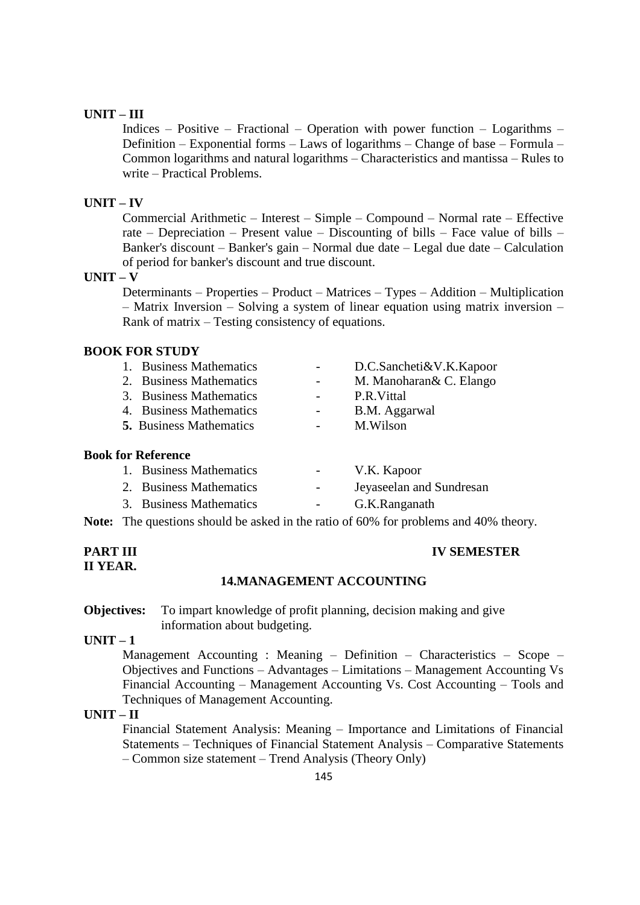# **UNIT – III**

Indices – Positive – Fractional – Operation with power function – Logarithms – Definition – Exponential forms – Laws of logarithms – Change of base – Formula – Common logarithms and natural logarithms – Characteristics and mantissa – Rules to write – Practical Problems.

### **UNIT – IV**

Commercial Arithmetic – Interest – Simple – Compound – Normal rate – Effective rate – Depreciation – Present value – Discounting of bills – Face value of bills – Banker's discount – Banker's gain – Normal due date – Legal due date – Calculation of period for banker's discount and true discount.

# **UNIT – V**

Determinants – Properties – Product – Matrices – Types – Addition – Multiplication – Matrix Inversion – Solving a system of linear equation using matrix inversion – Rank of matrix – Testing consistency of equations.

# **BOOK FOR STUDY**

| 1. Business Mathematics        | D.C.Sancheti&V.K.Kapoor  |
|--------------------------------|--------------------------|
| 2. Business Mathematics        | M. Manoharan & C. Elango |
| 3. Business Mathematics        | P.R. Vittal              |
| 4. Business Mathematics        | B.M. Aggarwal            |
| <b>5.</b> Business Mathematics | M.Wilson                 |
|                                |                          |

#### **Book for Reference**

| 1. Business Mathematics | $\sim$ 100 $\mu$ | V.K. Kapoor   |                          |
|-------------------------|------------------|---------------|--------------------------|
| 2. Business Mathematics | $\sim$           |               | Jeyaseelan and Sundresan |
| 3. Business Mathematics |                  | G.K.Ranganath |                          |
|                         |                  |               | $\sqrt{2}$               |

**Note:** The questions should be asked in the ratio of 60% for problems and 40% theory.

# **II YEAR.**

#### **PART III IV SEMESTER**

#### **14.MANAGEMENT ACCOUNTING**

**Objectives:** To impart knowledge of profit planning, decision making and give information about budgeting.

# **UNIT – 1**

Management Accounting : Meaning – Definition – Characteristics – Scope – Objectives and Functions – Advantages – Limitations – Management Accounting Vs Financial Accounting – Management Accounting Vs. Cost Accounting – Tools and Techniques of Management Accounting.

#### **UNIT – II**

Financial Statement Analysis: Meaning – Importance and Limitations of Financial Statements – Techniques of Financial Statement Analysis – Comparative Statements – Common size statement – Trend Analysis (Theory Only)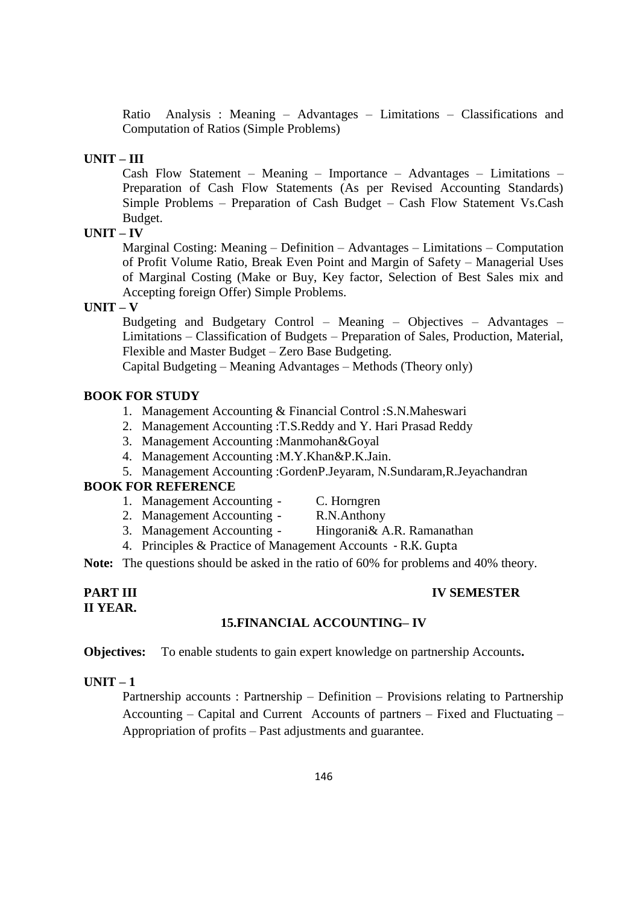Ratio Analysis : Meaning – Advantages – Limitations – Classifications and Computation of Ratios (Simple Problems)

#### **UNIT – III**

Cash Flow Statement – Meaning – Importance – Advantages – Limitations – Preparation of Cash Flow Statements (As per Revised Accounting Standards) Simple Problems – Preparation of Cash Budget – Cash Flow Statement Vs.Cash Budget.

#### **UNIT – IV**

Marginal Costing: Meaning – Definition – Advantages – Limitations – Computation of Profit Volume Ratio, Break Even Point and Margin of Safety – Managerial Uses of Marginal Costing (Make or Buy, Key factor, Selection of Best Sales mix and Accepting foreign Offer) Simple Problems.

#### **UNIT – V**

Budgeting and Budgetary Control – Meaning – Objectives – Advantages – Limitations – Classification of Budgets – Preparation of Sales, Production, Material, Flexible and Master Budget – Zero Base Budgeting.

Capital Budgeting – Meaning Advantages – Methods (Theory only)

# **BOOK FOR STUDY**

- 1. Management Accounting & Financial Control :S.N.Maheswari
- 2. Management Accounting :T.S.Reddy and Y. Hari Prasad Reddy
- 3. Management Accounting :Manmohan&Goyal
- 4. Management Accounting :M.Y.Khan&P.K.Jain.
- 5. Management Accounting :GordenP.Jeyaram, N.Sundaram,R.Jeyachandran

#### **BOOK FOR REFERENCE**

- 1. Management Accounting C. Horngren
	-
- 2. Management Accounting R.N.Anthony
- 3. Management Accounting Hingorani& A.R. Ramanathan
- 4. Principles & Practice of Management Accounts R.K. Gupta

**Note:** The questions should be asked in the ratio of 60% for problems and 40% theory.

#### **PART III IV SEMESTER II YEAR.**

# **15.FINANCIAL ACCOUNTING– IV**

**Objectives:** To enable students to gain expert knowledge on partnership Accounts**.**

# **UNIT – 1**

Partnership accounts : Partnership – Definition – Provisions relating to Partnership Accounting – Capital and Current Accounts of partners – Fixed and Fluctuating – Appropriation of profits – Past adjustments and guarantee.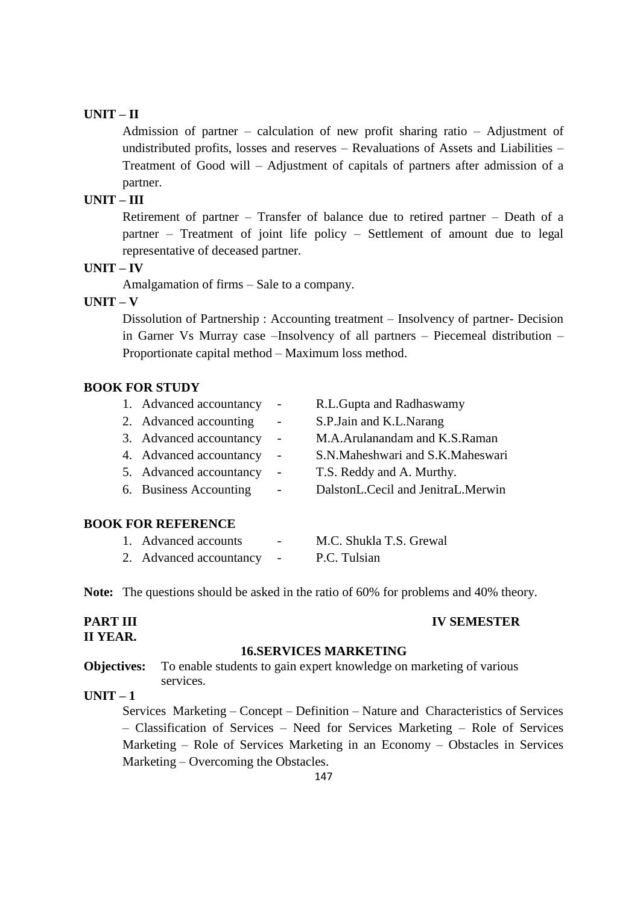# **UNIT – II**

Admission of partner – calculation of new profit sharing ratio – Adjustment of undistributed profits, losses and reserves – Revaluations of Assets and Liabilities – Treatment of Good will – Adjustment of capitals of partners after admission of a partner.

# **UNIT – III**

Retirement of partner – Transfer of balance due to retired partner – Death of a partner – Treatment of joint life policy – Settlement of amount due to legal representative of deceased partner.

#### **UNIT – IV**

Amalgamation of firms – Sale to a company.

#### **UNIT – V**

Dissolution of Partnership : Accounting treatment – Insolvency of partner- Decision in Garner Vs Murray case –Insolvency of all partners – Piecemeal distribution – Proportionate capital method – Maximum loss method.

# **BOOK FOR STUDY**

| 1. Advanced accountancy | $\overline{\phantom{a}}$ | R.L.Gupta and Radhaswamy           |
|-------------------------|--------------------------|------------------------------------|
| 2. Advanced accounting  | $\overline{\phantom{m}}$ | S.P.Jain and K.L.Narang            |
| 3. Advanced accountancy |                          | M.A.Arulanandam and K.S.Raman      |
| 4. Advanced accountancy | $\overline{\phantom{a}}$ | S.N.Maheshwari and S.K.Maheswari   |
| 5. Advanced accountancy | $\overline{\phantom{a}}$ | T.S. Reddy and A. Murthy.          |
| 6. Business Accounting  | $\overline{\phantom{m}}$ | DalstonL.Cecil and JenitraL.Merwin |
|                         |                          |                                    |

# **BOOK FOR REFERENCE**

| 1. Advanced accounts    | $\overline{\phantom{0}}$ | M.C. Shukla T.S. Grewal |
|-------------------------|--------------------------|-------------------------|
| 2. Advanced accountancy |                          | P.C. Tulsian            |

**Note:** The questions should be asked in the ratio of 60% for problems and 40% theory.

#### **PART III IV SEMESTER II YEAR.**

# **16.SERVICES MARKETING**

**Objectives:** To enable students to gain expert knowledge on marketing of various services.

# **UNIT – 1**

Services Marketing – Concept – Definition – Nature and Characteristics of Services – Classification of Services – Need for Services Marketing – Role of Services Marketing – Role of Services Marketing in an Economy – Obstacles in Services Marketing – Overcoming the Obstacles.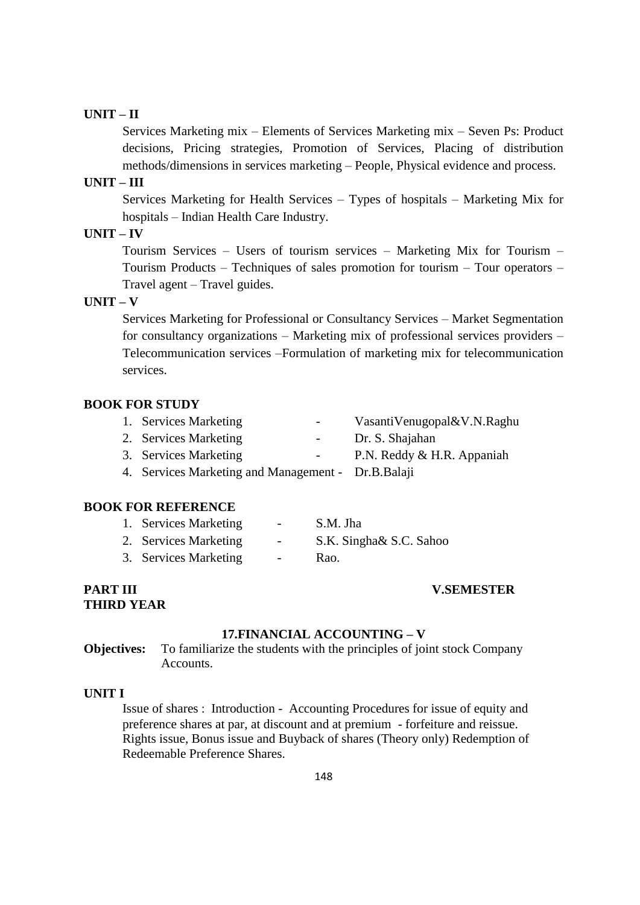# **UNIT – II**

Services Marketing mix – Elements of Services Marketing mix – Seven Ps: Product decisions, Pricing strategies, Promotion of Services, Placing of distribution methods/dimensions in services marketing – People, Physical evidence and process.

# **UNIT – III**

Services Marketing for Health Services – Types of hospitals – Marketing Mix for hospitals – Indian Health Care Industry.

# **UNIT – IV**

Tourism Services – Users of tourism services – Marketing Mix for Tourism – Tourism Products – Techniques of sales promotion for tourism – Tour operators – Travel agent – Travel guides.

# **UNIT – V**

Services Marketing for Professional or Consultancy Services – Market Segmentation for consultancy organizations – Marketing mix of professional services providers – Telecommunication services –Formulation of marketing mix for telecommunication services.

#### **BOOK FOR STUDY**

- 1. Services Marketing VasantiVenugopal&V.N.Raghu
- 2. Services Marketing Dr. S. Shajahan
- 3. Services Marketing P.N. Reddy & H.R. Appaniah
- 4. Services Marketing and Management Dr.B.Balaji

# **BOOK FOR REFERENCE**

| 1. Services Marketing | $\overline{\phantom{0}}$ | S.M. Jha                |
|-----------------------|--------------------------|-------------------------|
| 2. Services Marketing | $\overline{\phantom{0}}$ | S.K. Singha& S.C. Sahoo |
| 3. Services Marketing |                          | Rao.                    |

# **THIRD YEAR**

#### **PART III V.SEMESTER**

#### **17.FINANCIAL ACCOUNTING – V**

**Objectives:** To familiarize the students with the principles of joint stock Company Accounts.

#### **UNIT I**

Issue of shares : Introduction - Accounting Procedures for issue of equity and preference shares at par, at discount and at premium - forfeiture and reissue. Rights issue, Bonus issue and Buyback of shares (Theory only) Redemption of Redeemable Preference Shares.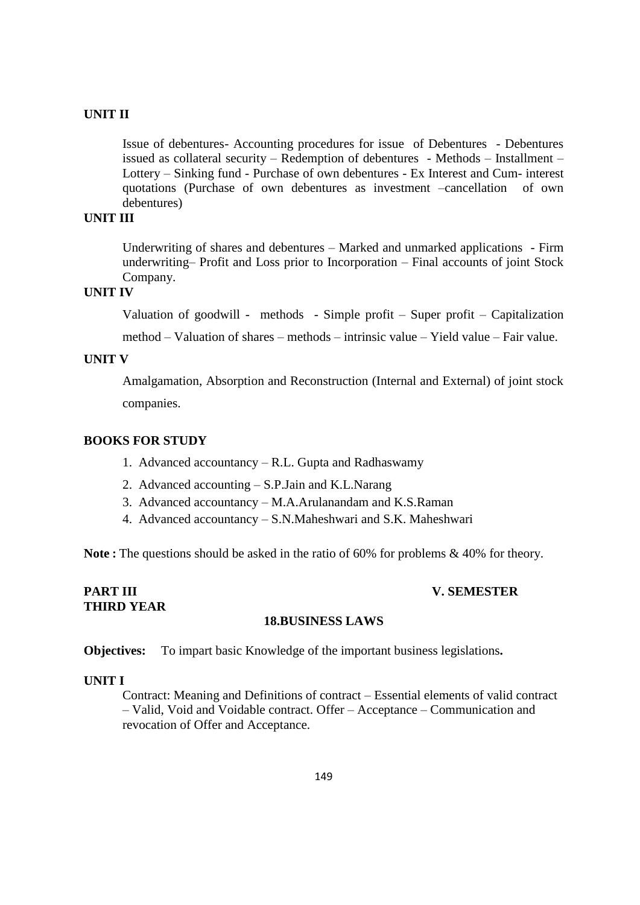Issue of debentures- Accounting procedures for issue of Debentures - Debentures issued as collateral security – Redemption of debentures - Methods – Installment – Lottery – Sinking fund - Purchase of own debentures - Ex Interest and Cum- interest quotations (Purchase of own debentures as investment –cancellation of own debentures)

# **UNIT III**

Underwriting of shares and debentures – Marked and unmarked applications - Firm underwriting– Profit and Loss prior to Incorporation – Final accounts of joint Stock Company.

# **UNIT IV**

Valuation of goodwill - methods - Simple profit – Super profit – Capitalization

method – Valuation of shares – methods – intrinsic value – Yield value – Fair value.

# **UNIT V**

Amalgamation, Absorption and Reconstruction (Internal and External) of joint stock companies.

#### **BOOKS FOR STUDY**

- 1. Advanced accountancy R.L. Gupta and Radhaswamy
- 2. Advanced accounting S.P.Jain and K.L.Narang
- 3. Advanced accountancy M.A.Arulanandam and K.S.Raman
- 4. Advanced accountancy S.N.Maheshwari and S.K. Maheshwari

**Note :** The questions should be asked in the ratio of 60% for problems & 40% for theory.

# **THIRD YEAR**

#### **PART III V. SEMESTER**

#### **18.BUSINESS LAWS**

**Objectives:** To impart basic Knowledge of the important business legislations**.**

#### **UNIT I**

Contract: Meaning and Definitions of contract – Essential elements of valid contract – Valid, Void and Voidable contract. Offer – Acceptance – Communication and revocation of Offer and Acceptance.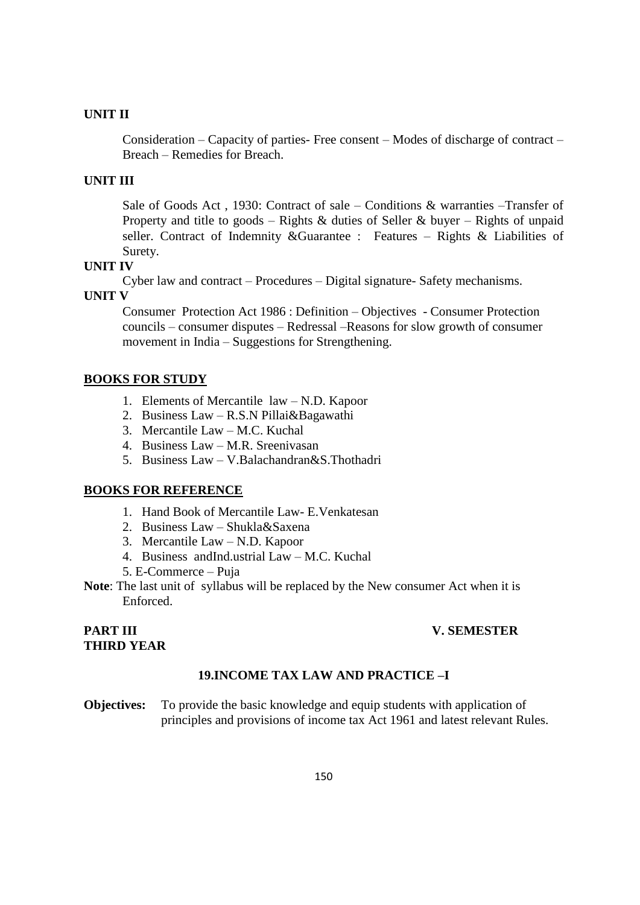Consideration – Capacity of parties- Free consent – Modes of discharge of contract – Breach – Remedies for Breach.

# **UNIT III**

Sale of Goods Act , 1930: Contract of sale – Conditions & warranties –Transfer of Property and title to goods – Rights & duties of Seller & buyer – Rights of unpaid seller. Contract of Indemnity &Guarantee : Features – Rights & Liabilities of Surety.

# **UNIT IV**

Cyber law and contract – Procedures – Digital signature- Safety mechanisms.

#### **UNIT V**

Consumer Protection Act 1986 : Definition – Objectives - Consumer Protection councils – consumer disputes – Redressal –Reasons for slow growth of consumer movement in India – Suggestions for Strengthening.

#### **BOOKS FOR STUDY**

- 1. Elements of Mercantile law N.D. Kapoor
- 2. Business Law R.S.N Pillai&Bagawathi
- 3. Mercantile Law M.C. Kuchal
- 4. Business Law M.R. Sreenivasan
- 5. Business Law V.Balachandran&S.Thothadri

# **BOOKS FOR REFERENCE**

- 1. Hand Book of Mercantile Law- E.Venkatesan
- 2. Business Law Shukla&Saxena
- 3. Mercantile Law N.D. Kapoor
- 4. Business andInd.ustrial Law M.C. Kuchal
- 5. E-Commerce Puja
- **Note**: The last unit of syllabus will be replaced by the New consumer Act when it is Enforced.

#### **PART III V. SEMESTER**

# **THIRD YEAR**

#### **19.INCOME TAX LAW AND PRACTICE –I**

**Objectives:** To provide the basic knowledge and equip students with application of principles and provisions of income tax Act 1961 and latest relevant Rules.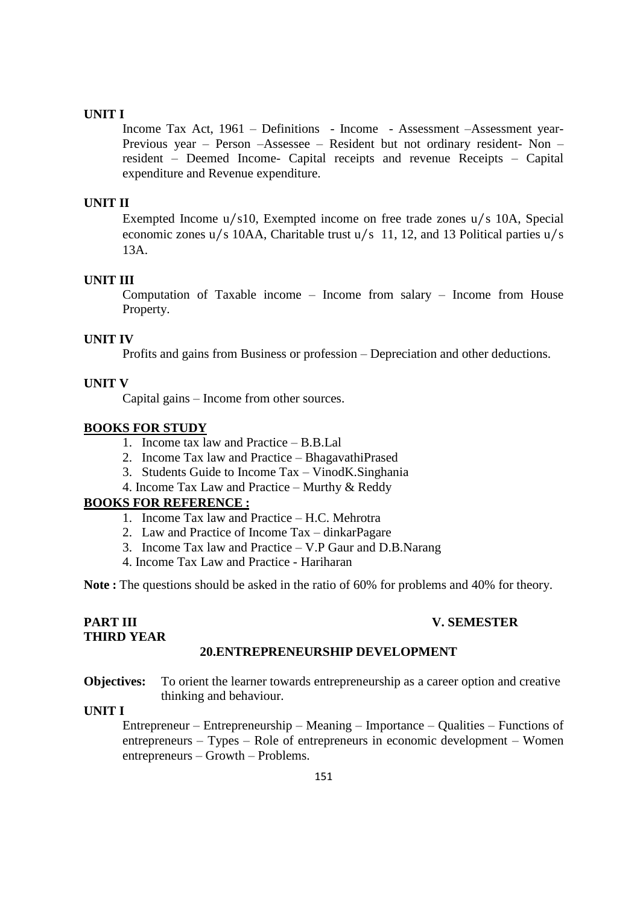Income Tax Act, 1961 – Definitions - Income - Assessment –Assessment year-Previous year – Person –Assessee – Resident but not ordinary resident- Non – resident – Deemed Income- Capital receipts and revenue Receipts – Capital expenditure and Revenue expenditure.

#### **UNIT II**

Exempted Income u/s10, Exempted income on free trade zones u/s 10A, Special economic zones u/s 10AA, Charitable trust u/s 11, 12, and 13 Political parties u/s 13A.

#### **UNIT III**

Computation of Taxable income – Income from salary – Income from House Property.

#### **UNIT IV**

Profits and gains from Business or profession – Depreciation and other deductions.

#### **UNIT V**

Capital gains – Income from other sources.

#### **BOOKS FOR STUDY**

- 1. Income tax law and Practice B.B.Lal
- 2. Income Tax law and Practice BhagavathiPrased
- 3. Students Guide to Income Tax VinodK.Singhania
- 4. Income Tax Law and Practice Murthy & Reddy

### **BOOKS FOR REFERENCE :**

- 1. Income Tax law and Practice H.C. Mehrotra
- 2. Law and Practice of Income Tax dinkarPagare
- 3. Income Tax law and Practice V.P Gaur and D.B.Narang
- 4. Income Tax Law and Practice Hariharan

**Note :** The questions should be asked in the ratio of 60% for problems and 40% for theory.

#### **PART III V. SEMESTER**

#### **THIRD YEAR 20.ENTREPRENEURSHIP DEVELOPMENT**

**Objectives:** To orient the learner towards entrepreneurship as a career option and creative thinking and behaviour.

# **UNIT I**

Entrepreneur – Entrepreneurship – Meaning – Importance – Qualities – Functions of entrepreneurs – Types – Role of entrepreneurs in economic development – Women entrepreneurs – Growth – Problems.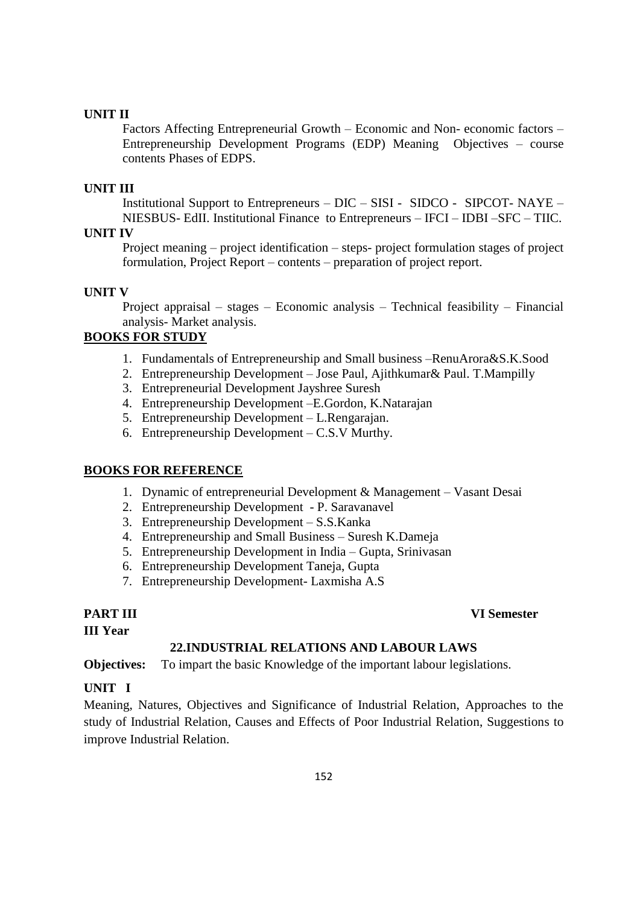Factors Affecting Entrepreneurial Growth – Economic and Non- economic factors – Entrepreneurship Development Programs (EDP) Meaning Objectives – course contents Phases of EDPS.

# **UNIT III**

Institutional Support to Entrepreneurs – DIC – SISI - SIDCO - SIPCOT- NAYE – NIESBUS- EdII. Institutional Finance to Entrepreneurs – IFCI – IDBI –SFC – TIIC.

# **UNIT IV**

Project meaning – project identification – steps- project formulation stages of project formulation, Project Report – contents – preparation of project report.

# **UNIT V**

Project appraisal – stages – Economic analysis – Technical feasibility – Financial analysis- Market analysis.

# **BOOKS FOR STUDY**

- 1. Fundamentals of Entrepreneurship and Small business –RenuArora&S.K.Sood
- 2. Entrepreneurship Development Jose Paul, Ajithkumar& Paul. T.Mampilly
- 3. Entrepreneurial Development Jayshree Suresh
- 4. Entrepreneurship Development –E.Gordon, K.Natarajan
- 5. Entrepreneurship Development L.Rengarajan.
- 6. Entrepreneurship Development C.S.V Murthy.

# **BOOKS FOR REFERENCE**

- 1. Dynamic of entrepreneurial Development & Management Vasant Desai
- 2. Entrepreneurship Development P. Saravanavel
- 3. Entrepreneurship Development S.S.Kanka
- 4. Entrepreneurship and Small Business Suresh K.Dameja
- 5. Entrepreneurship Development in India Gupta, Srinivasan
- 6. Entrepreneurship Development Taneja, Gupta
- 7. Entrepreneurship Development- Laxmisha A.S

**III Year**

# **22.INDUSTRIAL RELATIONS AND LABOUR LAWS**

**Objectives:** To impart the basic Knowledge of the important labour legislations.

# **UNIT I**

Meaning, Natures, Objectives and Significance of Industrial Relation, Approaches to the study of Industrial Relation, Causes and Effects of Poor Industrial Relation, Suggestions to improve Industrial Relation.

# **PART III VI Semester**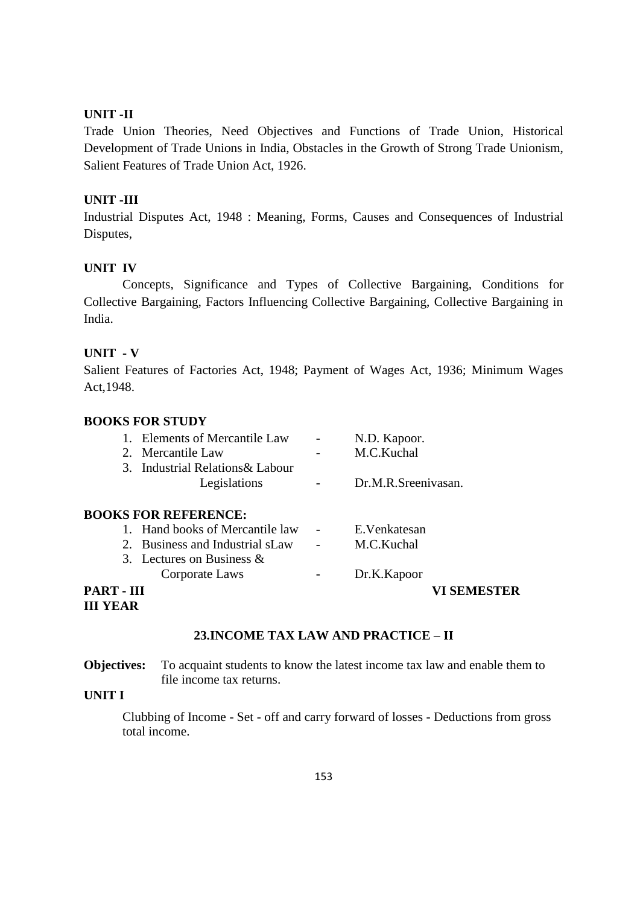Trade Union Theories, Need Objectives and Functions of Trade Union, Historical Development of Trade Unions in India, Obstacles in the Growth of Strong Trade Unionism, Salient Features of Trade Union Act, 1926.

## **UNIT -III**

Industrial Disputes Act, 1948 : Meaning, Forms, Causes and Consequences of Industrial Disputes,

# **UNIT IV**

Concepts, Significance and Types of Collective Bargaining, Conditions for Collective Bargaining, Factors Influencing Collective Bargaining, Collective Bargaining in India.

#### **UNIT - V**

Salient Features of Factories Act, 1948; Payment of Wages Act, 1936; Minimum Wages Act,1948.

### **BOOKS FOR STUDY**

| 1. Elements of Mercantile Law                    | N.D. Kapoor.        |
|--------------------------------------------------|---------------------|
| 2. Mercantile Law                                | M.C.Kuchal          |
| 3. Industrial Relations & Labour<br>Legislations | Dr.M.R.Sreenivasan. |
| <b>BOOKS FOR REFERENCE:</b>                      |                     |
| 1. Hand books of Mercantile law                  | E.Venkatesan        |
| 2 Business and Industrial sl aw                  | $M \cap K$ uchal    |

| PART - III |                                                         |      |                       | <b>VI SEMESTER</b> |
|------------|---------------------------------------------------------|------|-----------------------|--------------------|
|            | Corporate Laws                                          |      | Dr.K.Kapoor           |                    |
|            | 3. Lectures on Business $\&$                            |      |                       |                    |
|            | $\mathcal{L}$ . Dusiness and muusulai s $\mathcal{L}aw$ | ____ | <u>ivi.C.ixuciidi</u> |                    |

# **III YEAR**

# **23.INCOME TAX LAW AND PRACTICE – II**

**Objectives:** To acquaint students to know the latest income tax law and enable them to file income tax returns.

# **UNIT I**

Clubbing of Income - Set - off and carry forward of losses - Deductions from gross total income.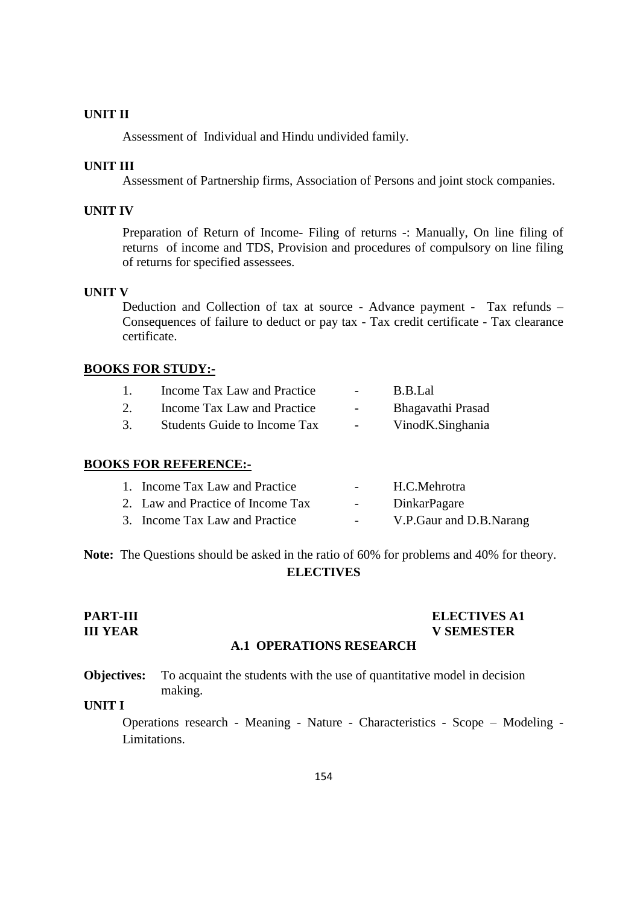Assessment of Individual and Hindu undivided family.

#### **UNIT III**

Assessment of Partnership firms, Association of Persons and joint stock companies.

# **UNIT IV**

Preparation of Return of Income- Filing of returns -: Manually, On line filing of returns of income and TDS, Provision and procedures of compulsory on line filing of returns for specified assessees.

#### **UNIT V**

Deduction and Collection of tax at source - Advance payment - Tax refunds – Consequences of failure to deduct or pay tax - Tax credit certificate - Tax clearance certificate.

#### **BOOKS FOR STUDY:-**

| Income Tax Law and Practice         | $\sim$ | B.B.Lal           |
|-------------------------------------|--------|-------------------|
| Income Tax Law and Practice         | $-$    | Bhagavathi Prasad |
| <b>Students Guide to Income Tax</b> | $-$    | VinodK.Singhania  |

#### **BOOKS FOR REFERENCE:-**

| 1. Income Tax Law and Practice    |            | H.C.Mehrotra            |
|-----------------------------------|------------|-------------------------|
| 2. Law and Practice of Income Tax | $\sim 100$ | DinkarPagare            |
| 3. Income Tax Law and Practice    |            | V.P.Gaur and D.B.Narang |

**Note:** The Questions should be asked in the ratio of 60% for problems and 40% for theory. **ELECTIVES**

#### **PART-III ELECTIVES A1 III YEAR V SEMESTER**

# **A.1 OPERATIONS RESEARCH**

**Objectives:** To acquaint the students with the use of quantitative model in decision making.

# **UNIT I**

Operations research - Meaning - Nature - Characteristics - Scope – Modeling - Limitations.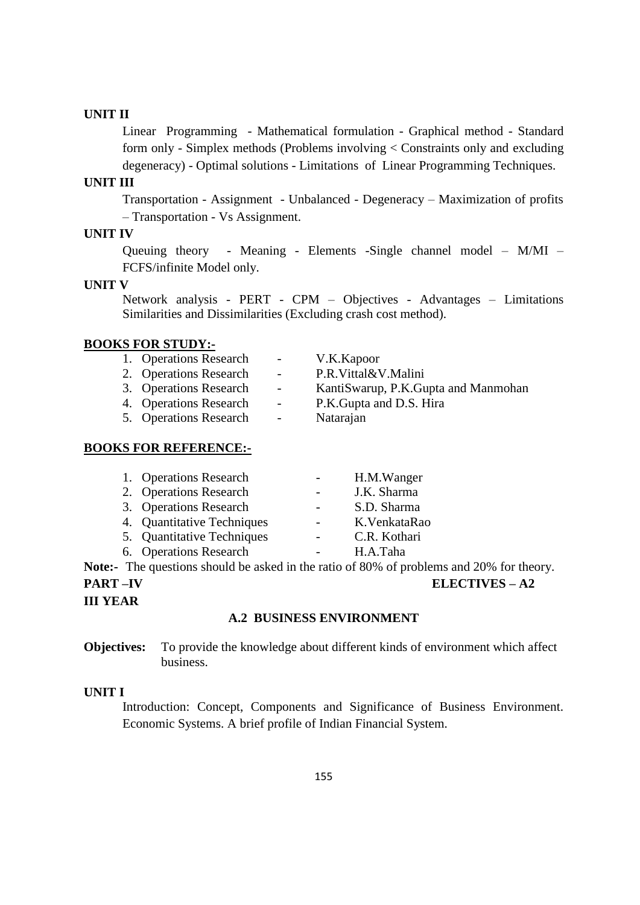Linear Programming - Mathematical formulation - Graphical method - Standard form only - Simplex methods (Problems involving < Constraints only and excluding degeneracy) - Optimal solutions - Limitations of Linear Programming Techniques.

# **UNIT III**

Transportation - Assignment - Unbalanced - Degeneracy – Maximization of profits – Transportation - Vs Assignment.

#### **UNIT IV**

Queuing theory - Meaning - Elements -Single channel model – M/MI – FCFS/infinite Model only.

#### **UNIT V**

Network analysis - PERT - CPM – Objectives - Advantages – Limitations Similarities and Dissimilarities (Excluding crash cost method).

#### **BOOKS FOR STUDY:-**

| 1. Operations Research | $\sim 100$               | V.K. Kapoor                           |
|------------------------|--------------------------|---------------------------------------|
| 2. Operations Research | $\overline{\phantom{a}}$ | P.R.Vittal&V.Malini                   |
| 3. Operations Research | $\sim$ $-$               | Kanti Swarup, P.K. Gupta and Manmohan |
| 4. Operations Research | $\sim$ $-$               | P.K. Gupta and D.S. Hira              |
| 5. Operations Research | $\overline{\phantom{a}}$ | Natarajan                             |
|                        |                          |                                       |

# **BOOKS FOR REFERENCE:-**

| 1. Operations Research     | H.M.Wanger    |
|----------------------------|---------------|
| 2. Operations Research     | J.K. Sharma   |
| 3. Operations Research     | S.D. Sharma   |
| 4. Quantitative Techniques | K. VenkataRao |
| 5. Quantitative Techniques | C.R. Kothari  |
| 6. Operations Research     | H.A.Taha      |

**Note:-** The questions should be asked in the ratio of 80% of problems and 20% for theory.

# **PART –IV ELECTIVES – A2**

**III YEAR**

#### **A.2 BUSINESS ENVIRONMENT**

**Objectives:** To provide the knowledge about different kinds of environment which affect business.

# **UNIT I**

Introduction: Concept, Components and Significance of Business Environment. Economic Systems. A brief profile of Indian Financial System.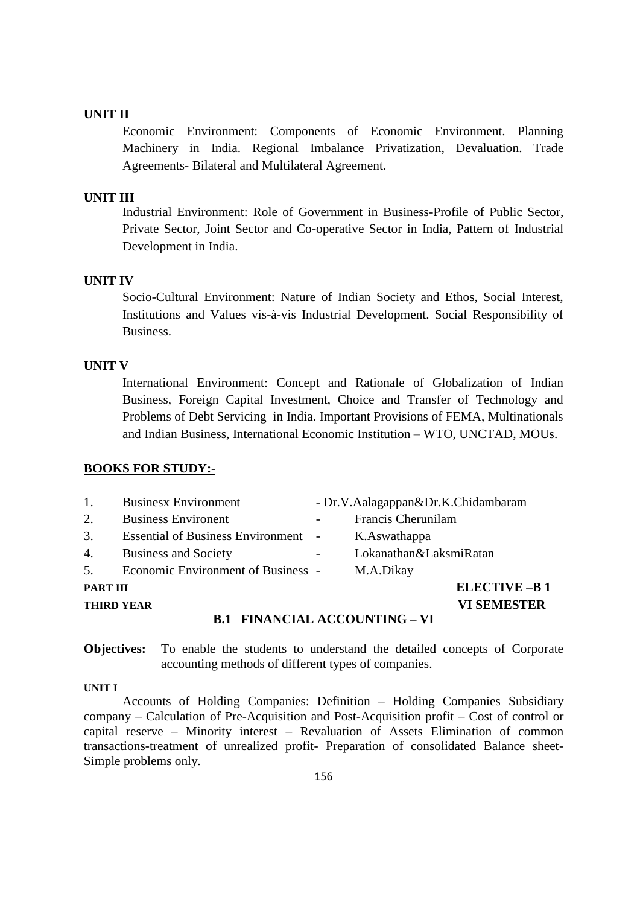Economic Environment: Components of Economic Environment. Planning Machinery in India. Regional Imbalance Privatization, Devaluation. Trade Agreements- Bilateral and Multilateral Agreement.

#### **UNIT III**

Industrial Environment: Role of Government in Business-Profile of Public Sector, Private Sector, Joint Sector and Co-operative Sector in India, Pattern of Industrial Development in India.

# **UNIT IV**

Socio-Cultural Environment: Nature of Indian Society and Ethos, Social Interest, Institutions and Values vis-à-vis Industrial Development. Social Responsibility of Business.

#### **UNIT V**

International Environment: Concept and Rationale of Globalization of Indian Business, Foreign Capital Investment, Choice and Transfer of Technology and Problems of Debt Servicing in India. Important Provisions of FEMA, Multinationals and Indian Business, International Economic Institution – WTO, UNCTAD, MOUs.

#### **BOOKS FOR STUDY:-**

|                 | <b>EIMANOLAL ACCOLUMENTO</b><br>D 1              |                                    |
|-----------------|--------------------------------------------------|------------------------------------|
|                 | <b>THIRD YEAR</b>                                | <b>VI SEMESTER</b>                 |
| <b>PART III</b> |                                                  | <b>ELECTIVE-B1</b>                 |
|                 | 5. Economic Environment of Business -            | M.A.Dikay                          |
| 4.              | <b>Business and Society</b>                      | Lokanathan&LaksmiRatan             |
| 3.              | Essential of Business Environment - K.Aswathappa |                                    |
| 2.              | <b>Business Environent</b>                       | Francis Cherunilam                 |
| $\mathbf{1}$ .  | <b>Businesx Environment</b>                      | - Dr.V.Aalagappan&Dr.K.Chidambaram |
|                 |                                                  |                                    |

#### **B.1 FINANCIAL ACCOUNTING – VI**

**Objectives:** To enable the students to understand the detailed concepts of Corporate accounting methods of different types of companies.

#### **UNIT I**

Accounts of Holding Companies: Definition – Holding Companies Subsidiary company – Calculation of Pre-Acquisition and Post-Acquisition profit – Cost of control or capital reserve – Minority interest – Revaluation of Assets Elimination of common transactions-treatment of unrealized profit- Preparation of consolidated Balance sheet-Simple problems only.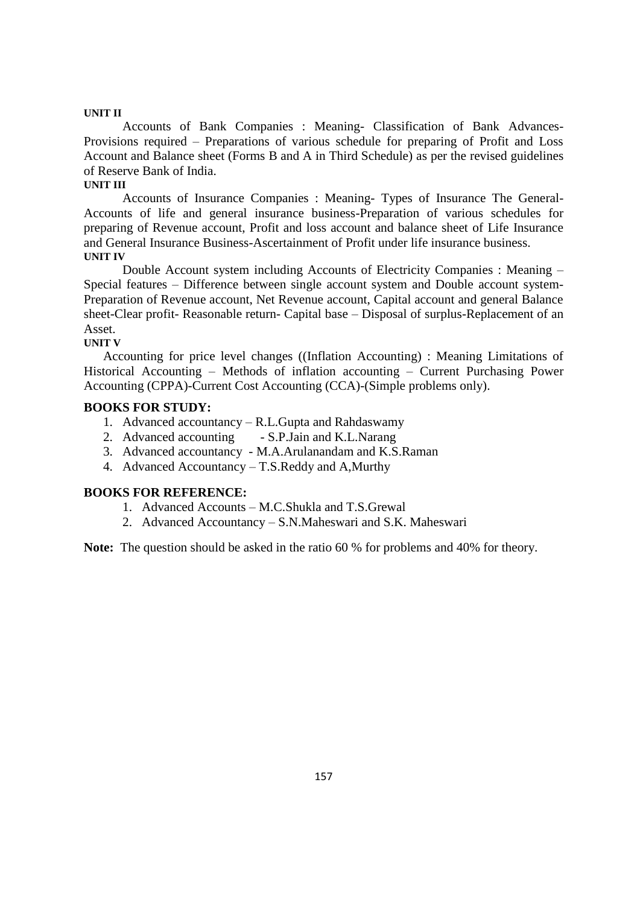Accounts of Bank Companies : Meaning- Classification of Bank Advances-Provisions required – Preparations of various schedule for preparing of Profit and Loss Account and Balance sheet (Forms B and A in Third Schedule) as per the revised guidelines of Reserve Bank of India.

#### **UNIT III**

Accounts of Insurance Companies : Meaning- Types of Insurance The General-Accounts of life and general insurance business-Preparation of various schedules for preparing of Revenue account, Profit and loss account and balance sheet of Life Insurance and General Insurance Business-Ascertainment of Profit under life insurance business. **UNIT IV**

Double Account system including Accounts of Electricity Companies : Meaning – Special features – Difference between single account system and Double account system-Preparation of Revenue account, Net Revenue account, Capital account and general Balance sheet-Clear profit- Reasonable return- Capital base – Disposal of surplus-Replacement of an Asset.

#### **UNIT V**

Accounting for price level changes ((Inflation Accounting) : Meaning Limitations of Historical Accounting – Methods of inflation accounting – Current Purchasing Power Accounting (CPPA)-Current Cost Accounting (CCA)-(Simple problems only).

#### **BOOKS FOR STUDY:**

- 1. Advanced accountancy R.L.Gupta and Rahdaswamy
- 2. Advanced accounting S.P.Jain and K.L.Narang
- 3. Advanced accountancy M.A.Arulanandam and K.S.Raman
- 4. Advanced Accountancy T.S.Reddy and A,Murthy

#### **BOOKS FOR REFERENCE:**

- 1. Advanced Accounts M.C.Shukla and T.S.Grewal
- 2. Advanced Accountancy S.N.Maheswari and S.K. Maheswari

**Note:** The question should be asked in the ratio 60 % for problems and 40% for theory.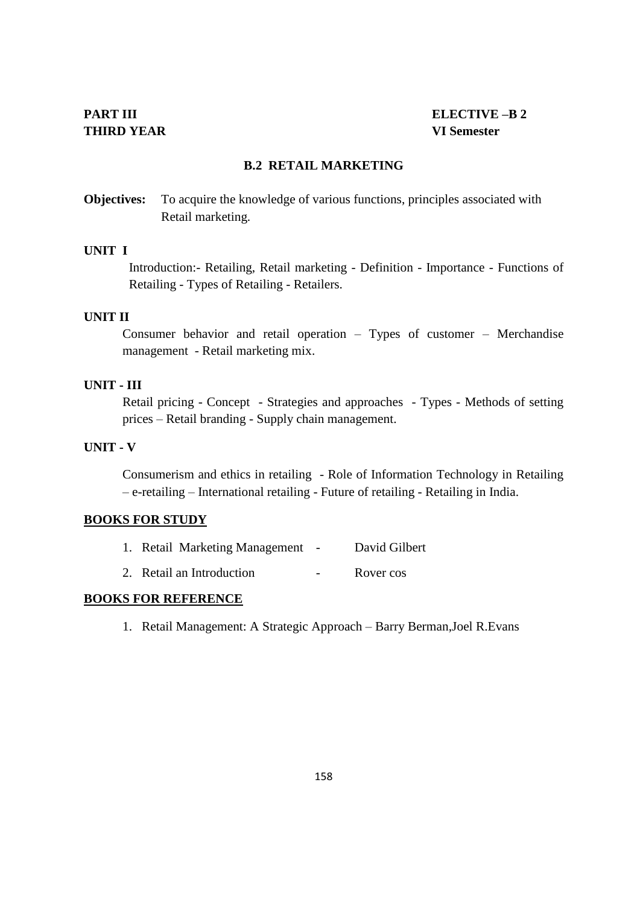#### **B.2 RETAIL MARKETING**

**Objectives:** To acquire the knowledge of various functions, principles associated with Retail marketing.

#### **UNIT I**

Introduction:- Retailing, Retail marketing - Definition - Importance - Functions of Retailing - Types of Retailing - Retailers.

#### **UNIT II**

Consumer behavior and retail operation – Types of customer – Merchandise management - Retail marketing mix.

# **UNIT - III**

Retail pricing - Concept - Strategies and approaches - Types - Methods of setting prices – Retail branding - Supply chain management.

#### **UNIT - V**

Consumerism and ethics in retailing - Role of Information Technology in Retailing – e-retailing – International retailing - Future of retailing - Retailing in India.

#### **BOOKS FOR STUDY**

| David Gilbert<br><b>Retail Marketing Management</b> |
|-----------------------------------------------------|
|                                                     |

2. Retail an Introduction - Rover cos

# **BOOKS FOR REFERENCE**

1. Retail Management: A Strategic Approach – Barry Berman,Joel R.Evans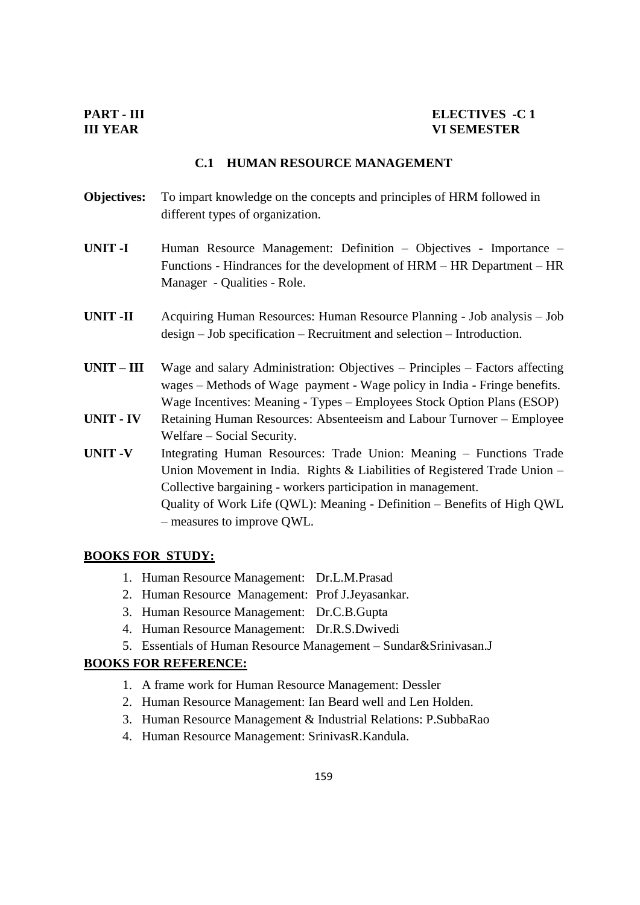#### **C.1 HUMAN RESOURCE MANAGEMENT**

- **Objectives:** To impart knowledge on the concepts and principles of HRM followed in different types of organization.
- **UNIT -I** Human Resource Management: Definition Objectives Importance Functions - Hindrances for the development of HRM – HR Department – HR Manager - Qualities - Role.
- **UNIT -II** Acquiring Human Resources: Human Resource Planning Job analysis Job design – Job specification – Recruitment and selection – Introduction.
- **UNIT – III** Wage and salary Administration: Objectives Principles Factors affecting wages – Methods of Wage payment - Wage policy in India - Fringe benefits. Wage Incentives: Meaning - Types – Employees Stock Option Plans (ESOP)
- **UNIT - IV** Retaining Human Resources: Absenteeism and Labour Turnover Employee Welfare – Social Security.
- **UNIT -V** Integrating Human Resources: Trade Union: Meaning Functions Trade Union Movement in India. Rights & Liabilities of Registered Trade Union – Collective bargaining - workers participation in management. Quality of Work Life (QWL): Meaning - Definition – Benefits of High QWL – measures to improve QWL.

#### **BOOKS FOR STUDY:**

- 1. Human Resource Management: Dr.L.M.Prasad
- 2. Human Resource Management: Prof J.Jeyasankar.
- 3. Human Resource Management: Dr.C.B.Gupta
- 4. Human Resource Management: Dr.R.S.Dwivedi
- 5. Essentials of Human Resource Management Sundar&Srinivasan.J

# **BOOKS FOR REFERENCE:**

- 1. A frame work for Human Resource Management: Dessler
- 2. Human Resource Management: Ian Beard well and Len Holden.
- 3. Human Resource Management & Industrial Relations: P.SubbaRao
- 4. Human Resource Management: SrinivasR.Kandula.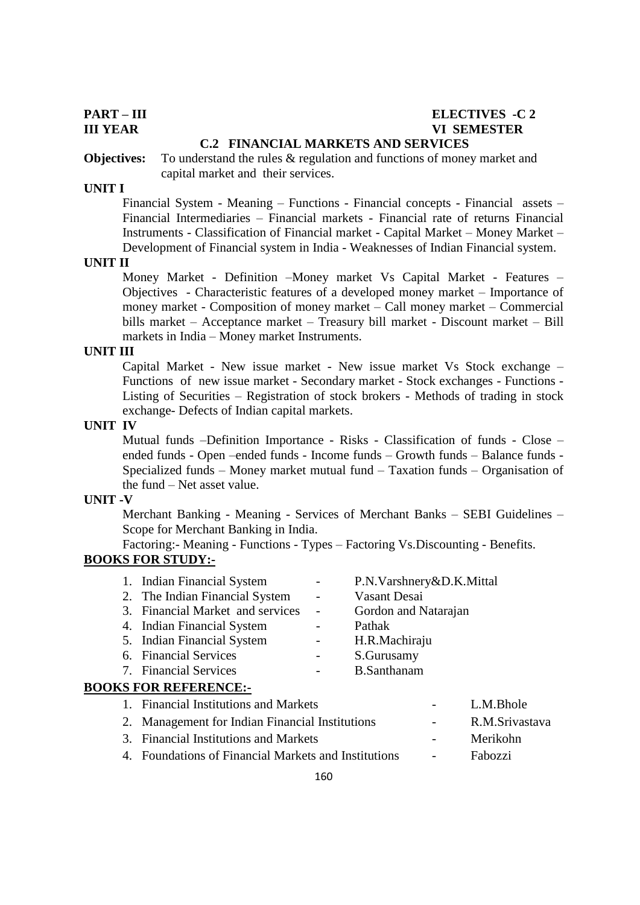# **PART – III ELECTIVES -C 2 III YEAR VI SEMESTER**

#### **C.2 FINANCIAL MARKETS AND SERVICES**

**Objectives:** To understand the rules & regulation and functions of money market and capital market and their services.

#### **UNIT I**

Financial System - Meaning – Functions - Financial concepts - Financial assets – Financial Intermediaries – Financial markets - Financial rate of returns Financial Instruments - Classification of Financial market - Capital Market – Money Market – Development of Financial system in India - Weaknesses of Indian Financial system.

#### **UNIT II**

Money Market - Definition –Money market Vs Capital Market - Features – Objectives - Characteristic features of a developed money market – Importance of money market - Composition of money market – Call money market – Commercial bills market – Acceptance market – Treasury bill market - Discount market – Bill markets in India – Money market Instruments.

#### **UNIT III**

Capital Market - New issue market - New issue market Vs Stock exchange – Functions of new issue market - Secondary market - Stock exchanges - Functions - Listing of Securities – Registration of stock brokers - Methods of trading in stock exchange- Defects of Indian capital markets.

#### **UNIT IV**

Mutual funds –Definition Importance - Risks - Classification of funds - Close – ended funds - Open –ended funds - Income funds – Growth funds – Balance funds - Specialized funds – Money market mutual fund – Taxation funds – Organisation of the fund – Net asset value.

#### **UNIT -V**

Merchant Banking - Meaning - Services of Merchant Banks – SEBI Guidelines – Scope for Merchant Banking in India.

Factoring:- Meaning - Functions - Types – Factoring Vs.Discounting - Benefits. **BOOKS FOR STUDY:-**

| 1. Indian Financial System       |                          | P.N.Varshnery&D.K.Mittal |
|----------------------------------|--------------------------|--------------------------|
| 2. The Indian Financial System   | $\overline{\phantom{a}}$ | Vasant Desai             |
| 3. Financial Market and services | $\sim$ 10 $\pm$          | Gordon and Natarajan     |
| 4. Indian Financial System       |                          | Pathak                   |
| 5. Indian Financial System       |                          | H.R.Machiraju            |
| 6. Financial Services            |                          | S.Gurusamy               |
| 7. Financial Services            |                          | <b>B.Santhanam</b>       |
| <b>BOOKS FOR REFERENCE:-</b>     |                          |                          |

# 1. Financial Institutions and Markets - L.M.Bhole 2. Management for Indian Financial Institutions - R.M.Srivastava 3. Financial Institutions and Markets - Merikohn 4. Foundations of Financial Markets and Institutions - Fabozzi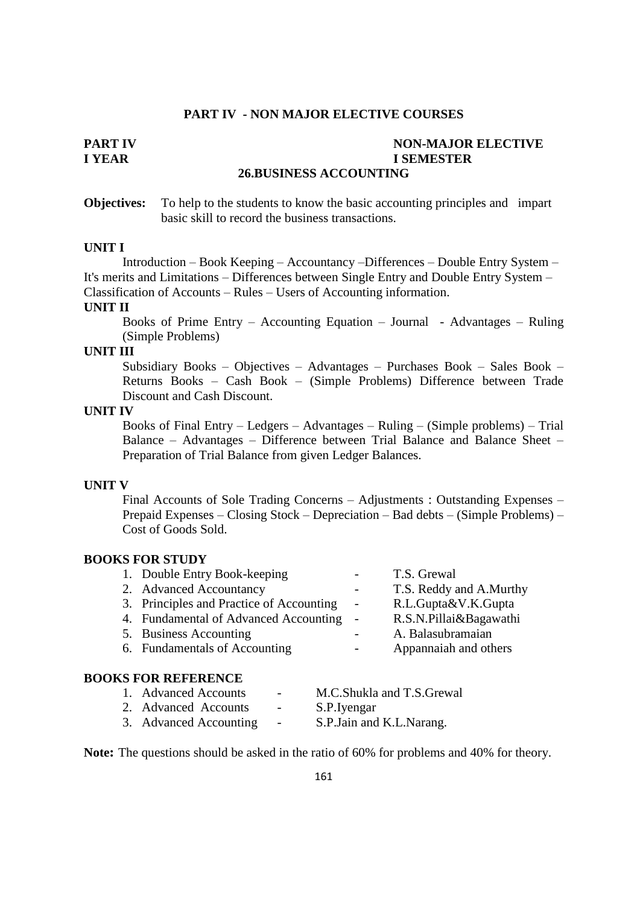# **PART IV - NON MAJOR ELECTIVE COURSES**

# **PART IV NON-MAJOR ELECTIVE**<br> **I YEAR I YEAR I SEMESTER**

# **26.BUSINESS ACCOUNTING**

**Objectives:** To help to the students to know the basic accounting principles and impart basic skill to record the business transactions.

#### **UNIT I**

Introduction – Book Keeping – Accountancy –Differences – Double Entry System – It's merits and Limitations – Differences between Single Entry and Double Entry System – Classification of Accounts – Rules – Users of Accounting information.

#### **UNIT II**

Books of Prime Entry – Accounting Equation – Journal - Advantages – Ruling (Simple Problems)

# **UNIT III**

Subsidiary Books – Objectives – Advantages – Purchases Book – Sales Book – Returns Books – Cash Book – (Simple Problems) Difference between Trade Discount and Cash Discount.

#### **UNIT IV**

Books of Final Entry – Ledgers – Advantages – Ruling – (Simple problems) – Trial Balance – Advantages – Difference between Trial Balance and Balance Sheet – Preparation of Trial Balance from given Ledger Balances.

#### **UNIT V**

Final Accounts of Sole Trading Concerns – Adjustments : Outstanding Expenses – Prepaid Expenses – Closing Stock – Depreciation – Bad debts – (Simple Problems) – Cost of Goods Sold.

#### **BOOKS FOR STUDY**

| 1. Double Entry Book-keeping             | $\sim$ 100 $\mu$         | T.S. Grewal             |
|------------------------------------------|--------------------------|-------------------------|
| 2. Advanced Accountancy                  | $ -$                     | T.S. Reddy and A.Murthy |
| 3. Principles and Practice of Accounting | $\overline{\phantom{a}}$ | R.L.Gupta&V.K.Gupta     |
| 4. Fundamental of Advanced Accounting -  |                          | R.S.N.Pillai&Bagawathi  |
| 5. Business Accounting                   | $-$                      | A. Balasubramaian       |
| 6. Fundamentals of Accounting            | $ \sim$                  | Appannaiah and others   |
|                                          |                          |                         |

#### **BOOKS FOR REFERENCE**

| 1. Advanced Accounts   | $\overline{\phantom{0}}$ | M.C.Shukla and T.S.Grewal  |
|------------------------|--------------------------|----------------------------|
| 2. Advanced Accounts   | $\overline{\phantom{a}}$ | S.P. Iyengar               |
| 3. Advanced Accounting | $\overline{\phantom{a}}$ | S.P. Jain and K.L. Narang. |

**Note:** The questions should be asked in the ratio of 60% for problems and 40% for theory.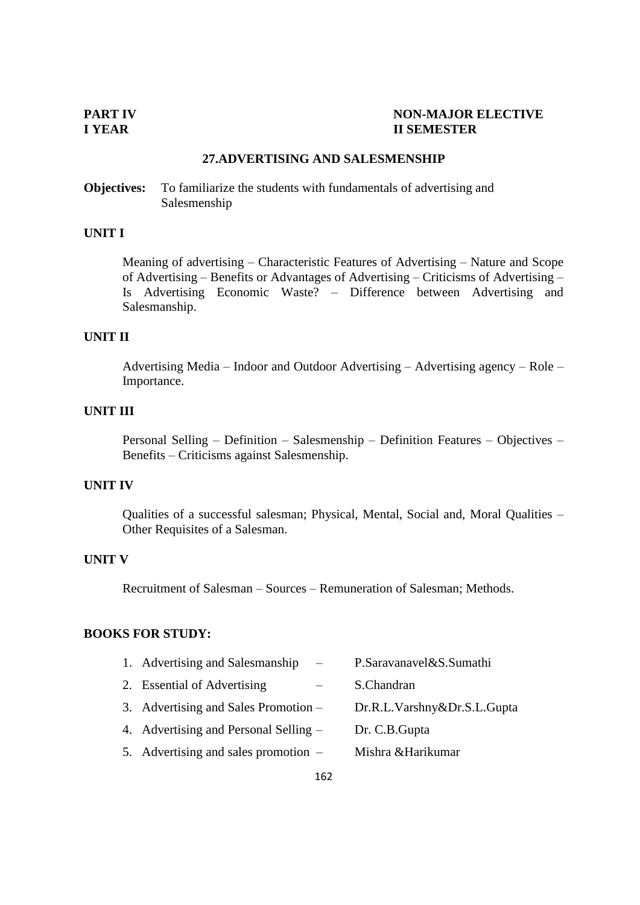#### **PART IV**<br> **IVEAR**<br> **EXECTIVE II SEMESTER**

### **27.ADVERTISING AND SALESMENSHIP**

**Objectives:** To familiarize the students with fundamentals of advertising and Salesmenship

# **UNIT I**

Meaning of advertising – Characteristic Features of Advertising – Nature and Scope of Advertising – Benefits or Advantages of Advertising – Criticisms of Advertising – Is Advertising Economic Waste? – Difference between Advertising and Salesmanship.

# **UNIT II**

Advertising Media – Indoor and Outdoor Advertising – Advertising agency – Role – Importance.

#### **UNIT III**

Personal Selling – Definition – Salesmenship – Definition Features – Objectives – Benefits – Criticisms against Salesmenship.

#### **UNIT IV**

Qualities of a successful salesman; Physical, Mental, Social and, Moral Qualities – Other Requisites of a Salesman.

# **UNIT V**

Recruitment of Salesman – Sources – Remuneration of Salesman; Methods.

#### **BOOKS FOR STUDY:**

| 1. Advertising and Salesmanship<br>$\overline{\phantom{a}}$ | P.Saravanavel&S.Sumathi     |
|-------------------------------------------------------------|-----------------------------|
| 2. Essential of Advertising                                 | S.Chandran                  |
| 3. Advertising and Sales Promotion –                        | Dr.R.L.Varshny&Dr.S.L.Gupta |
| 4. Advertising and Personal Selling –                       | Dr. C.B. Gupta              |
| 5. Advertising and sales promotion $-$                      | Mishra & Harikumar          |
|                                                             |                             |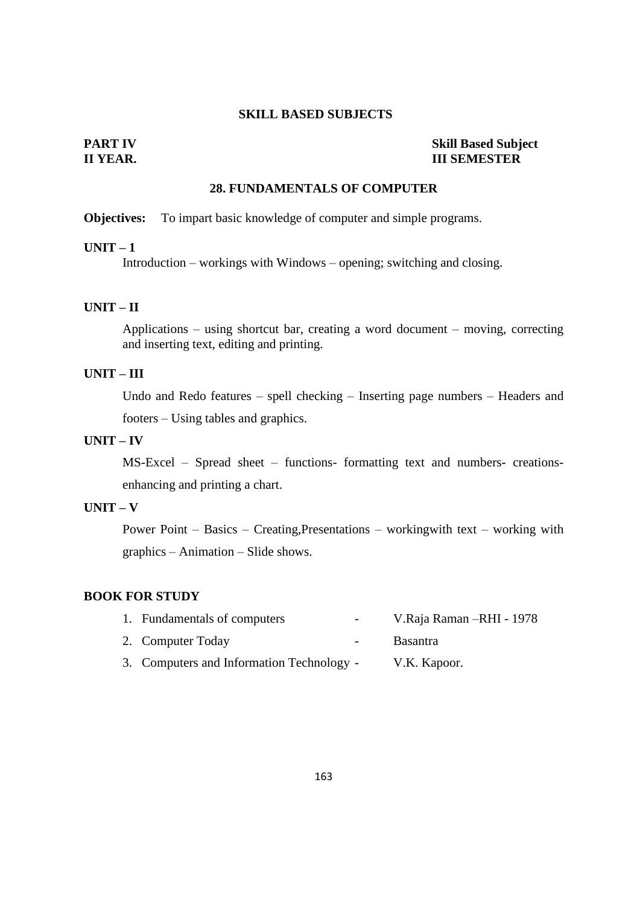#### **SKILL BASED SUBJECTS**

### **PART IV Skill Based Subject III SEMESTER**

## **28. FUNDAMENTALS OF COMPUTER**

#### **Objectives:** To impart basic knowledge of computer and simple programs.

#### **UNIT – 1**

Introduction – workings with Windows – opening; switching and closing.

# **UNIT – II**

Applications – using shortcut bar, creating a word document – moving, correcting and inserting text, editing and printing.

# **UNIT – III**

Undo and Redo features – spell checking – Inserting page numbers – Headers and footers – Using tables and graphics.

#### **UNIT – IV**

MS-Excel – Spread sheet – functions- formatting text and numbers- creationsenhancing and printing a chart.

# **UNIT – V**

Power Point – Basics – Creating,Presentations – workingwith text – working with graphics – Animation – Slide shows.

# **BOOK FOR STUDY**

| 1. Fundamentals of computers              | $-$ | V.Raja Raman - RHI - 1978 |
|-------------------------------------------|-----|---------------------------|
| 2. Computer Today<br>$\blacksquare$       |     | <b>Basantra</b>           |
| 3. Computers and Information Technology - |     | V.K. Kapoor.              |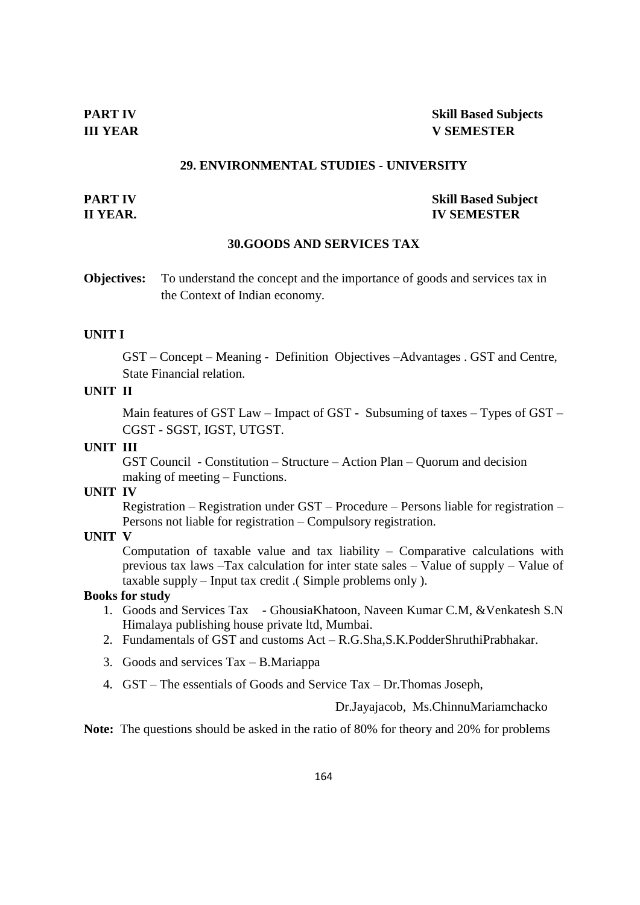#### **29. ENVIRONMENTAL STUDIES - UNIVERSITY**

#### **PART IV Skill Based Subject II YEAR. IV SEMESTER**

#### **30.GOODS AND SERVICES TAX**

**Objectives:** To understand the concept and the importance of goods and services tax in the Context of Indian economy.

#### **UNIT I**

GST – Concept – Meaning - Definition Objectives –Advantages . GST and Centre, State Financial relation.

### **UNIT II**

Main features of GST Law – Impact of GST - Subsuming of taxes – Types of GST – CGST - SGST, IGST, UTGST.

# **UNIT III**

GST Council - Constitution – Structure – Action Plan – Quorum and decision making of meeting – Functions.

#### **UNIT IV**

Registration – Registration under GST – Procedure – Persons liable for registration – Persons not liable for registration – Compulsory registration.

# **UNIT V**

Computation of taxable value and tax liability – Comparative calculations with previous tax laws –Tax calculation for inter state sales – Value of supply – Value of taxable supply – Input tax credit .( Simple problems only ).

# **Books for study**

- 1. Goods and Services Tax GhousiaKhatoon, Naveen Kumar C.M, &Venkatesh S.N Himalaya publishing house private ltd, Mumbai.
- 2. Fundamentals of GST and customs Act R.G.Sha,S.K.PodderShruthiPrabhakar.
- 3. Goods and services Tax B.Mariappa
- 4. GST The essentials of Goods and Service Tax Dr.Thomas Joseph,

Dr.Jayajacob, Ms.ChinnuMariamchacko

**Note:** The questions should be asked in the ratio of 80% for theory and 20% for problems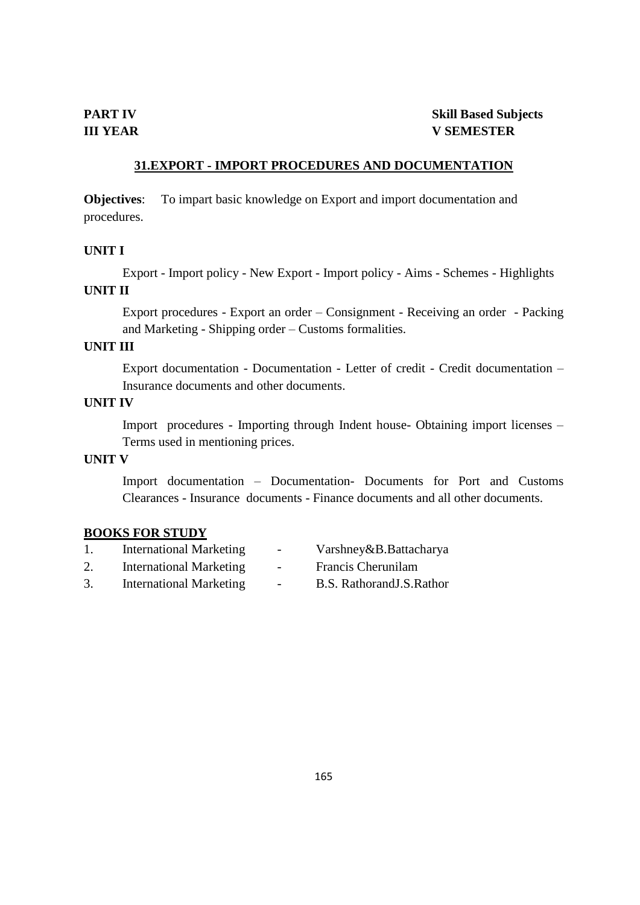# **31.EXPORT - IMPORT PROCEDURES AND DOCUMENTATION**

**Objectives**: To impart basic knowledge on Export and import documentation and procedures.

#### **UNIT I**

Export - Import policy - New Export - Import policy - Aims - Schemes - Highlights

# **UNIT II**

Export procedures - Export an order – Consignment - Receiving an order - Packing and Marketing - Shipping order – Customs formalities.

# **UNIT III**

Export documentation - Documentation - Letter of credit - Credit documentation – Insurance documents and other documents.

# **UNIT IV**

Import procedures - Importing through Indent house- Obtaining import licenses – Terms used in mentioning prices.

# **UNIT V**

Import documentation – Documentation- Documents for Port and Customs Clearances - Insurance documents - Finance documents and all other documents.

#### **BOOKS FOR STUDY**

|    | <b>International Marketing</b> | $\sim$ | Varshney&B.Battacharya     |
|----|--------------------------------|--------|----------------------------|
| 2. | <b>International Marketing</b> | $\sim$ | Francis Cherunilam         |
| 3. | <b>International Marketing</b> | $\sim$ | B.S. Rathorand J.S. Rathor |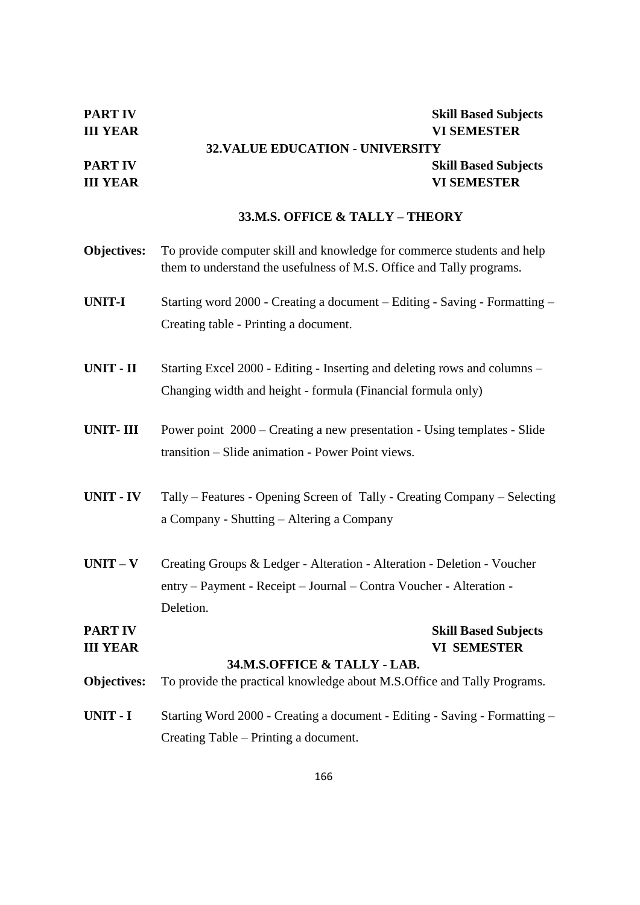| <b>PART IV</b> | <b>Skill Based Subjects</b>             |
|----------------|-----------------------------------------|
| III YEAR       | <b>VI SEMESTER</b>                      |
|                | <b>32. VALUE EDUCATION - UNIVERSITY</b> |
| PART IV        | <b>Skill Based Subjects</b>             |
| III YEAR       | <b>VI SEMESTER</b>                      |
|                |                                         |

# **33.M.S. OFFICE & TALLY – THEORY**

| Objectives:     | To provide computer skill and knowledge for commerce students and help<br>them to understand the usefulness of M.S. Office and Tally programs. |
|-----------------|------------------------------------------------------------------------------------------------------------------------------------------------|
| <b>UNIT-I</b>   | Starting word 2000 - Creating a document – Editing - Saving - Formatting –                                                                     |
|                 | Creating table - Printing a document.                                                                                                          |
| UNIT - II       | Starting Excel 2000 - Editing - Inserting and deleting rows and columns –                                                                      |
|                 | Changing width and height - formula (Financial formula only)                                                                                   |
| <b>UNIT-III</b> | Power point 2000 – Creating a new presentation - Using templates - Slide                                                                       |
|                 | transition - Slide animation - Power Point views.                                                                                              |
| UNIT - IV       | Tally – Features - Opening Screen of Tally - Creating Company – Selecting                                                                      |
|                 | a Company - Shutting - Altering a Company                                                                                                      |
| $UNIT - V$      | Creating Groups & Ledger - Alteration - Alteration - Deletion - Voucher                                                                        |
|                 | entry - Payment - Receipt - Journal - Contra Voucher - Alteration -                                                                            |
|                 | Deletion.                                                                                                                                      |
| <b>PART IV</b>  | <b>Skill Based Subjects</b>                                                                                                                    |
| <b>III YEAR</b> | <b>VI SEMESTER</b><br>34.M.S.OFFICE & TALLY - LAB.                                                                                             |
| Objectives:     | To provide the practical knowledge about M.S. Office and Tally Programs.                                                                       |
| UNIT - I        | Starting Word 2000 - Creating a document - Editing - Saving - Formatting -                                                                     |
|                 | Creating Table – Printing a document.                                                                                                          |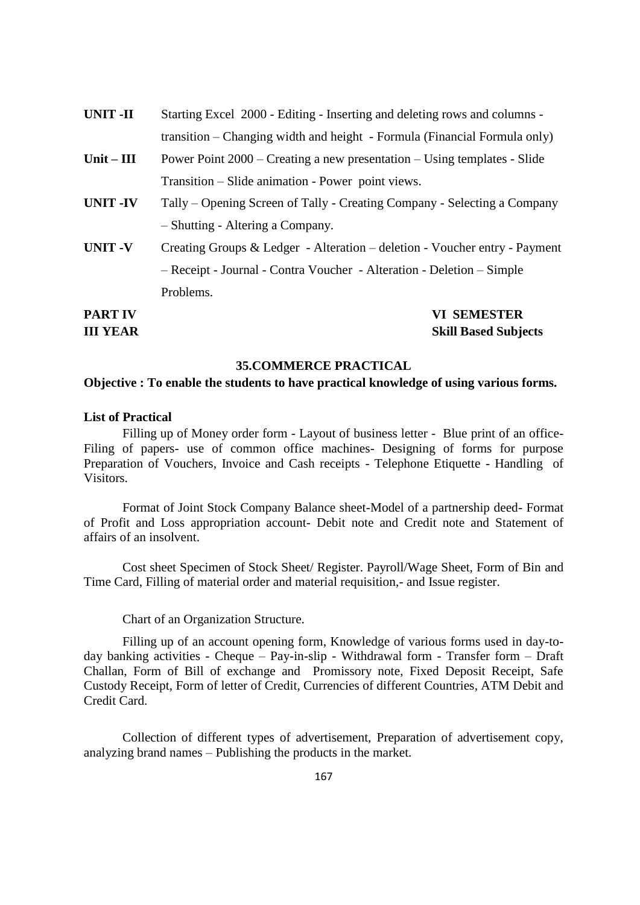| <b>PART IV</b>  | <b>VI SEMESTER</b>                                                         |
|-----------------|----------------------------------------------------------------------------|
|                 | Problems.                                                                  |
|                 | - Receipt - Journal - Contra Voucher - Alteration - Deletion - Simple      |
| <b>UNIT-V</b>   | Creating Groups & Ledger - Alteration – deletion - Voucher entry - Payment |
|                 | - Shutting - Altering a Company.                                           |
| <b>UNIT -IV</b> | Tally – Opening Screen of Tally - Creating Company - Selecting a Company   |
|                 | Transition – Slide animation - Power point views.                          |
| Unit $-$ III    | Power Point 2000 – Creating a new presentation – Using templates - Slide   |
|                 | transition – Changing width and height - Formula (Financial Formula only)  |
| <b>UNIT-II</b>  | Starting Excel 2000 - Editing - Inserting and deleting rows and columns -  |

**III YEAR Skill Based Subjects**

#### **35.COMMERCE PRACTICAL**

#### **Objective : To enable the students to have practical knowledge of using various forms.**

#### **List of Practical**

Filling up of Money order form - Layout of business letter - Blue print of an office-Filing of papers- use of common office machines- Designing of forms for purpose Preparation of Vouchers, Invoice and Cash receipts - Telephone Etiquette - Handling of Visitors.

Format of Joint Stock Company Balance sheet-Model of a partnership deed- Format of Profit and Loss appropriation account- Debit note and Credit note and Statement of affairs of an insolvent.

Cost sheet Specimen of Stock Sheet/ Register. Payroll/Wage Sheet, Form of Bin and Time Card, Filling of material order and material requisition,- and Issue register.

Chart of an Organization Structure.

Filling up of an account opening form, Knowledge of various forms used in day-today banking activities - Cheque – Pay-in-slip - Withdrawal form - Transfer form – Draft Challan, Form of Bill of exchange and Promissory note, Fixed Deposit Receipt, Safe Custody Receipt, Form of letter of Credit, Currencies of different Countries, ATM Debit and Credit Card.

Collection of different types of advertisement, Preparation of advertisement copy, analyzing brand names – Publishing the products in the market.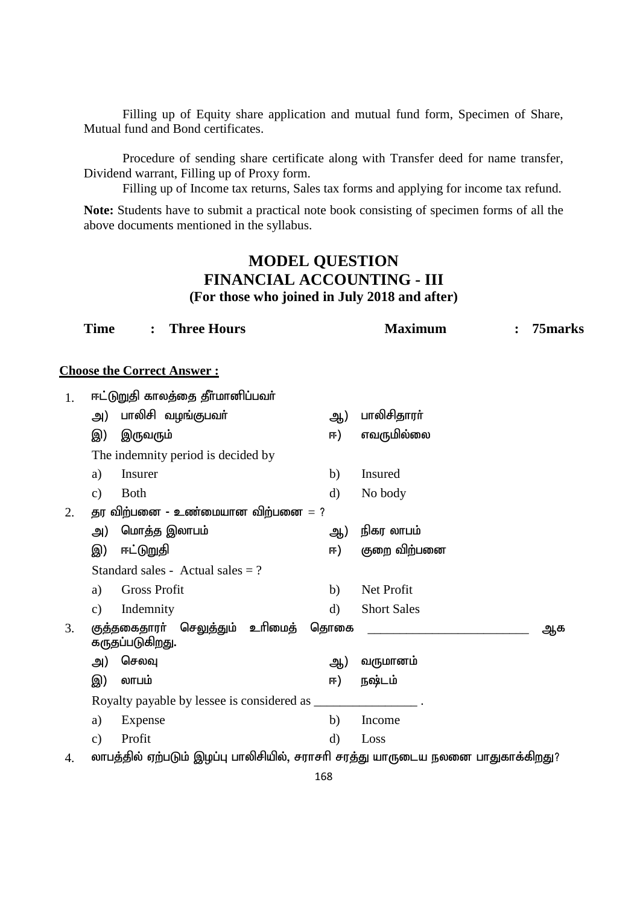Filling up of Equity share application and mutual fund form, Specimen of Share, Mutual fund and Bond certificates.

Procedure of sending share certificate along with Transfer deed for name transfer, Dividend warrant, Filling up of Proxy form.

Filling up of Income tax returns, Sales tax forms and applying for income tax refund.

**Note:** Students have to submit a practical note book consisting of specimen forms of all the above documents mentioned in the syllabus.

# **MODEL QUESTION FINANCIAL ACCOUNTING - III (For those who joined in July 2018 and after)**

|    | <b>Time</b>   |                     | <b>Three Hours</b>                                 |              | <b>Maximum</b>                                                                  | 75marks |
|----|---------------|---------------------|----------------------------------------------------|--------------|---------------------------------------------------------------------------------|---------|
|    |               |                     | <b>Choose the Correct Answer:</b>                  |              |                                                                                 |         |
| 1. |               |                     | ஈட்டுறுதி காலத்தை தீர்மானிப்பவர்                   |              |                                                                                 |         |
|    | அ)            |                     | பாலிசி வழங்குபவா்                                  | ஆ)           | பாலிசிதாரா்                                                                     |         |
|    | இ)            | இருவரும்            |                                                    | ஈ)           | எவருமில்லை                                                                      |         |
|    |               |                     | The indemnity period is decided by                 |              |                                                                                 |         |
|    | a)            | Insurer             |                                                    | b)           | Insured                                                                         |         |
|    | $\mathbf{c})$ | <b>Both</b>         |                                                    | $\mathbf{d}$ | No body                                                                         |         |
| 2. |               |                     | தர விற்பனை - உண்மையான விற்பனை $=$ ?                |              |                                                                                 |         |
|    | அ)            |                     | மொத்த இலாபம்                                       | ஆ)           | நிகர லாபம்                                                                      |         |
|    | இ)            | ஈட்டுறுதி           |                                                    | ஈ)           | குறை விற்பனை                                                                    |         |
|    |               |                     | Standard sales - Actual sales $= ?$                |              |                                                                                 |         |
|    | a)            | <b>Gross Profit</b> |                                                    | b)           | Net Profit                                                                      |         |
|    | $\mathbf{c})$ | Indemnity           |                                                    | $\mathbf{d}$ | <b>Short Sales</b>                                                              |         |
| 3. |               | கருதப்படுகிறது.     | குத்தகைதாரா் செலுத்தும் உாிமைத்                    | தொகை         |                                                                                 | ஆக      |
|    | அ)            | செலவு               |                                                    | ஆ)           | வருமானம்                                                                        |         |
|    | இ)            | லாபம்               |                                                    | ஈ)           | நஷ்டம்                                                                          |         |
|    |               |                     | Royalty payable by lessee is considered as _______ |              |                                                                                 |         |
|    | a)            | Expense             |                                                    | b)           | Income                                                                          |         |
|    | $\mathbf{c})$ | Profit              |                                                    | $\mathbf{d}$ | Loss                                                                            |         |
| 4. |               |                     |                                                    |              | லாபத்தில் ஏற்படும் இழப்பு பாலிசியில், சராசரி சரத்து யாருடைய நலனை பாதுகாக்கிறது? |         |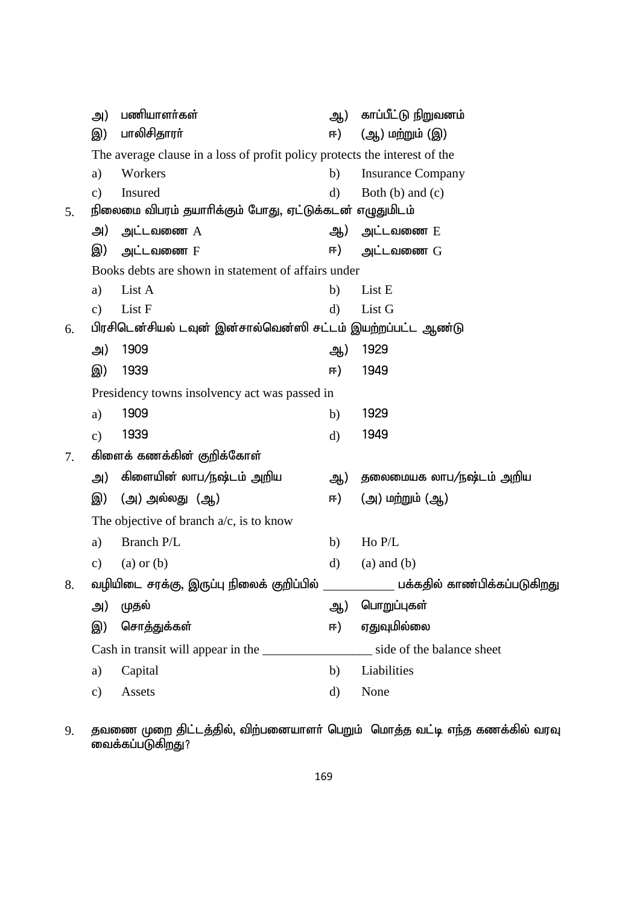|    | அ)            | பணியாளர்கள்                                                                | ஆ)           | காப்பீட்டு நிறுவனம்          |
|----|---------------|----------------------------------------------------------------------------|--------------|------------------------------|
|    | இ)            | பாலிசிதாரா்                                                                | ஈ)           | (ஆ) மற்றும் (இ)              |
|    |               | The average clause in a loss of profit policy protects the interest of the |              |                              |
|    | a)            | Workers                                                                    | b)           | <b>Insurance Company</b>     |
|    | c)            | Insured                                                                    | $\rm d$      | Both $(b)$ and $(c)$         |
| 5. |               | நிலைமை விபரம் தயாரிக்கும் போது, ஏட்டுக்கடன் எழுதுமிடம்                     |              |                              |
|    | அ)            | அட்டவணை $A$                                                                |              | ஆ) அட்டவணை E                 |
|    | இ)            | அட்டவணை F                                                                  | ஈ)           | அட்டவணை $G$                  |
|    |               | Books debts are shown in statement of affairs under                        |              |                              |
|    | a)            | List A                                                                     | b)           | List E                       |
|    | c)            | List F                                                                     | $\rm d$      | List G                       |
| 6. |               | பிரசிடென்சியல் டவுன் இன்சால்வென்ஸி சட்டம் இயற்றப்பட்ட ஆண்டு                |              |                              |
|    | அ)            | 1909                                                                       | ஆ)           | 1929                         |
|    | இ)            | 1939                                                                       | ஈ)           | 1949                         |
|    |               | Presidency towns insolvency act was passed in                              |              |                              |
|    | a)            | 1909                                                                       | b)           | 1929                         |
|    | $\mathbf{c})$ | 1939                                                                       | $\rm d)$     | 1949                         |
| 7. |               | கிளைக் கணக்கின் குறிக்கோள்                                                 |              |                              |
|    | அ)            | கிளையின் லாப/நஷ்டம் அறிய                                                   | ஆ)           | தலைமையக லாப/நஷ்டம் அறிய      |
|    | இ)            | (அ) அல்லது (ஆ)                                                             | ஈ)           | (அ) மற்றும் (ஆ)              |
|    |               | The objective of branch $a/c$ , is to know                                 |              |                              |
|    | a)            | Branch P/L                                                                 | b)           | Ho P/L                       |
|    | c)            | $(a)$ or $(b)$                                                             | $\mathbf{d}$ | $(a)$ and $(b)$              |
| 8. |               | வழியிடை சரக்கு, இருப்பு நிலைக் குறிப்பில்                                  |              | பக்கதில் காண்பிக்கப்படுகிறது |
|    | அ)            | முதல்                                                                      | ஆ)           | பொறுப்புகள்                  |
|    | இ)            | சொத்துக்கள்                                                                | ஈ)           | ஏதுவுமில்லை                  |
|    |               | Cash in transit will appear in the                                         |              | side of the balance sheet    |
|    | a)            | Capital                                                                    | b)           | Liabilities                  |
|    | c)            | Assets                                                                     | d)           | None                         |

9. தவணை முறை திட்டத்தில், விற்பனையாளர் பெறும் மொத்த வட்டி எந்த கணக்கில் வரவு வைக்கப்படுகிறது?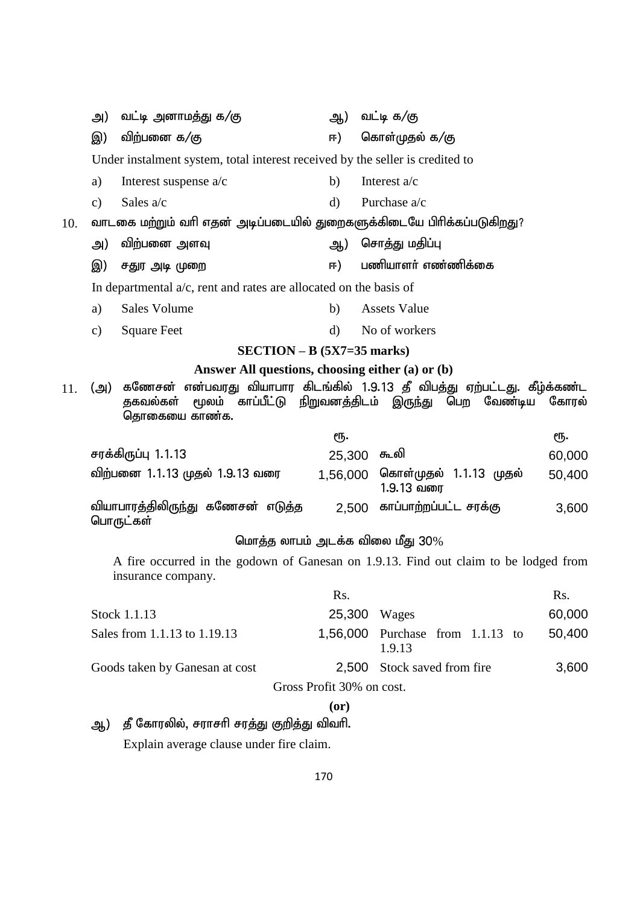|     | அ)                                                                                                         | வட்டி அனாமத்து க/கு                                                    | ஆ)           | வட்டி க/கு                                                                                  |        |  |
|-----|------------------------------------------------------------------------------------------------------------|------------------------------------------------------------------------|--------------|---------------------------------------------------------------------------------------------|--------|--|
|     | இ)                                                                                                         | விற்பனை க/கு                                                           | ஈ)           | கொள்முதல் க/கு                                                                              |        |  |
|     | Under instalment system, total interest received by the seller is credited to                              |                                                                        |              |                                                                                             |        |  |
|     | a)                                                                                                         | Interest suspense $a/c$                                                | b)           | Interest a/c                                                                                |        |  |
|     | $\mathbf{c})$                                                                                              | Sales a/c                                                              | $\mathbf{d}$ | Purchase a/c                                                                                |        |  |
| 10. |                                                                                                            | வாடகை மற்றும் வரி எதன் அடிப்படையில் துறைகளுக்கிடையே பிரிக்கப்படுகிறது? |              |                                                                                             |        |  |
|     | அ)                                                                                                         | விற்பனை அளவு                                                           | ஆ)           | சொத்து மதிப்பு                                                                              |        |  |
|     | இ)                                                                                                         | சதுர அடி முறை                                                          | ஈ)           | பணியாளர் எண்ணிக்கை                                                                          |        |  |
|     |                                                                                                            | In departmental $a/c$ , rent and rates are allocated on the basis of   |              |                                                                                             |        |  |
|     | a)                                                                                                         | <b>Sales Volume</b>                                                    | b)           | <b>Assets Value</b>                                                                         |        |  |
|     | $\mathbf{c})$                                                                                              | <b>Square Feet</b>                                                     | $\mathbf{d}$ | No of workers                                                                               |        |  |
|     |                                                                                                            | $SECTION - B (5X7=35 marks)$                                           |              |                                                                                             |        |  |
|     |                                                                                                            | Answer All questions, choosing either (a) or (b)                       |              |                                                                                             |        |  |
| 11. | (அ)                                                                                                        | காப்பீட்டு நிறுவனத்திடம் இருந்து<br>மூலம்<br>தகவல்கள்<br>தொகையை காண்க. |              | கணேசன் என்பவரது வியாபார கிடங்கில் 1.9.13 தீ விபத்து ஏற்பட்டது. கீழ்க்கண்ட<br>பெற<br>வேண்டிய | கோரல்  |  |
|     |                                                                                                            |                                                                        | ரூ.          | ரூ.                                                                                         |        |  |
|     |                                                                                                            | சரக்கிருப்பு 1.1.13                                                    | 25,300       | ௬வி                                                                                         | 60,000 |  |
|     |                                                                                                            | விற்பனை 1.1.13 முதல் 1.9.13 வரை                                        | 1,56,000     | கொள்முதல் 1.1.13 முதல்<br>1.9.13 வரை                                                        | 50,400 |  |
|     |                                                                                                            | வியாபாரத்திலிருந்து கணேசன் எடுத்த<br>பொருட்கள்                         | 2,500        | காப்பாற்றப்பட்ட சரக்கு                                                                      | 3,600  |  |
|     |                                                                                                            |                                                                        |              | மொத்த லாபம் அடக்க விலை மீது $30\%$                                                          |        |  |
|     | A fire occurred in the godown of Ganesan on 1.9.13. Find out claim to be lodged from<br>insurance company. |                                                                        |              |                                                                                             |        |  |
|     |                                                                                                            |                                                                        | Rs.          | Rs.                                                                                         |        |  |
|     |                                                                                                            | Stock 1.1.13                                                           | 25,300       | Wages                                                                                       | 60,000 |  |
|     |                                                                                                            | Sales from 1.1.13 to 1.19.13                                           | 1,56,000     | Purchase<br>from $1.1.13$ to<br>1.9.13                                                      | 50,400 |  |
|     |                                                                                                            | Goods taken by Ganesan at cost                                         | 2,500        | Stock saved from fire                                                                       | 3,600  |  |
|     |                                                                                                            |                                                                        |              | Gross Profit 30% on cost.                                                                   |        |  |
|     |                                                                                                            |                                                                        | (0r)         |                                                                                             |        |  |
|     | தீ கோரலில், சராசரி சரத்து குறித்து விவரி.<br>ஆ)                                                            |                                                                        |              |                                                                                             |        |  |

Explain average clause under fire claim.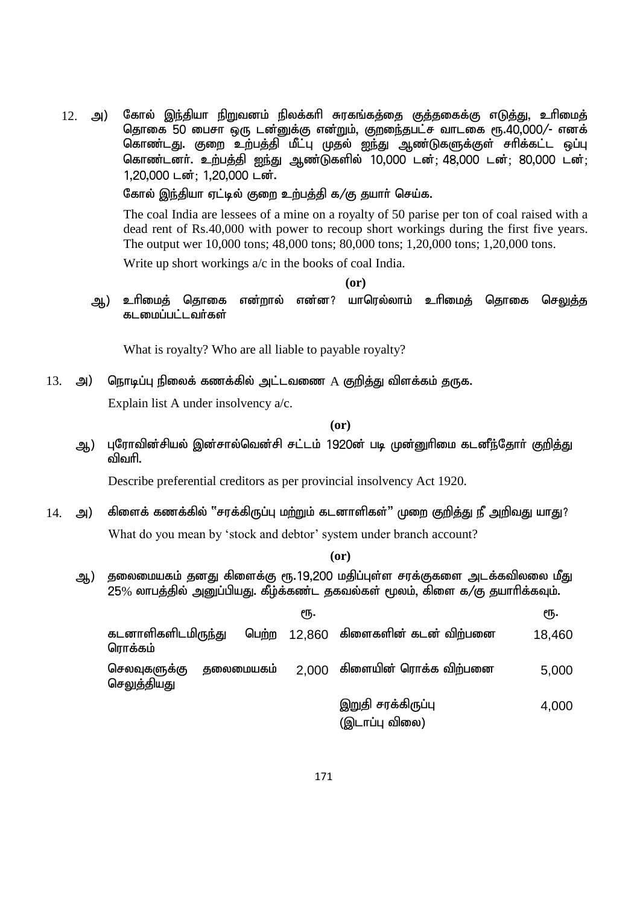12. அ) கோல் இந்தியா நிறுவனம் நிலக்கரி சுரகங்கத்தை குத்தகைக்கு எடுத்து, உரிமைத் தொகை 50 பைசா ஒரு டன்னுக்கு என்றும், குறுைந்தபட்ச வாடகை ரூ.40,000/- எனக் கொண்டது. குறை உற்பத்தி மீட்பு முதல் ஐந்து ஆண்டுகளுக்குள் சாிக்கட்ட ஒப்பு கொண்டனர். உற்பத்தி ஐந்து ஆண்டுகளில் 10,000 டன்: 48,000 டன்: 80,000 டன்: 1,20,000 டன்; 1,20,000 டன்.

கோல் இந்தியா ஏட்டில் குறை உற்பத்தி க/கு தயார் செய்க.

The coal India are lessees of a mine on a royalty of 50 parise per ton of coal raised with a dead rent of Rs.40,000 with power to recoup short workings during the first five years. The output wer 10,000 tons; 48,000 tons; 80,000 tons; 1,20,000 tons; 1,20,000 tons.

Write up short workings a/c in the books of coal India.

**(or)**

ஆ) உரிமைத் தொகை என்றால் என்ன? யாரெல்லாம் உரிமைத் தொகை செ<u>லுத்த</u> கடமைப்பட்டவர்கள்

What is royalty? Who are all liable to payable royalty?

13. அ) நொடிப்பு நிலைக் கணக்கில் அட்டவணை  $A$  குறித்து விளக்கம் தருக.

Explain list A under insolvency a/c.

**(or)**

ஆ) புரோவின்சியல் இன்சால்வென்சி சட்டம் 1920ன் படி முன்னுரிமை கடனீந்தோர் குறித்து விவரி.

Describe preferential creditors as per provincial insolvency Act 1920.

 $14$ . அ) கிளைக் கணக்கில் "சரக்கிருப்பு மற்றும் கடனாளிகள்" முறை குறித்து நீ அறிவது யாது? What do you mean by 'stock and debtor' system under branch account?

**(or)**

ஆ) தலைமையகம் தனது கிளைக்கு ரூ.19,200 மதிப்புள்ள சரக்குகளை அடக்கவிலலை மீது  $25%$  லாபத்தில் அனுப்பியது. கீழ்க்கண்ட தகவல்கள் மூலம், கிளை க/கு தயாரிக்கவும்.

|                                      |            | €Ҧ.   |                                      | ςҧ.    |
|--------------------------------------|------------|-------|--------------------------------------|--------|
| கடனாளிகளிடமிருந்து<br>ரொக்கம்        |            |       | பெற்ற 12,860 கிளைகளின் கடன் விற்பனை  | 18,460 |
| செலவுகளுக்கு<br>செ <u>லுக்</u> தியது | குலைமையகம் | 2.000 | கிளையின் ரொக்க விற்பனை               | 5,000  |
|                                      |            |       | இறுதி சரக்கிருப்பு<br>(இடாப்பு விலை) | 4,000  |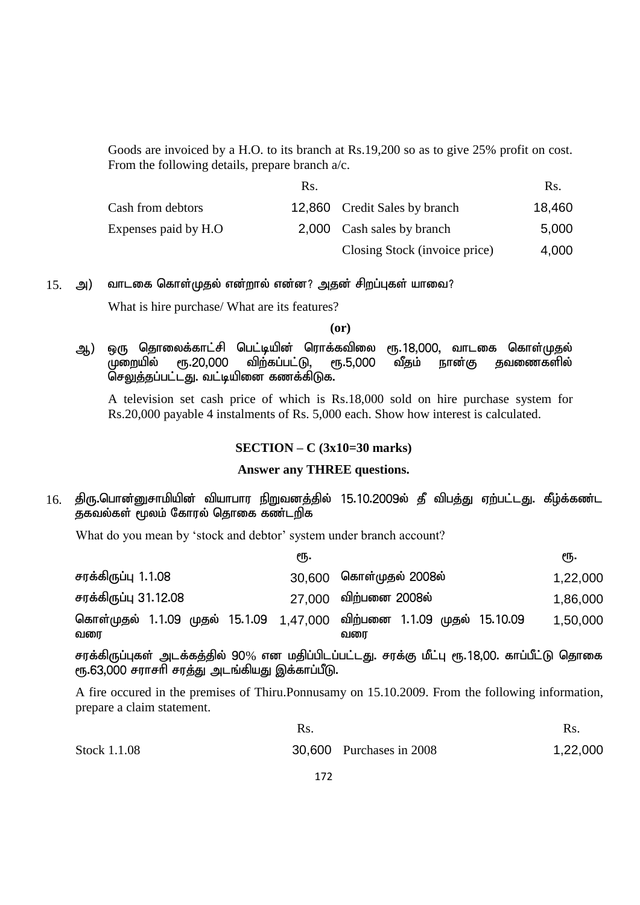Goods are invoiced by a H.O. to its branch at Rs.19,200 so as to give 25% profit on cost. From the following details, prepare branch a/c.

|                      | Rs. |                               | Rs.    |
|----------------------|-----|-------------------------------|--------|
| Cash from debtors    |     | 12,860 Credit Sales by branch | 18,460 |
| Expenses paid by H.O |     | 2,000 Cash sales by branch    | 5,000  |
|                      |     | Closing Stock (invoice price) | 4,000  |

 $15.$  அ) வாடகை கொள்முதல் என்றால் என்ன? அதன் சிறப்புகள் யாவை?

What is hire purchase/ What are its features?

**(or)**

ஆ) ஒரு தொலைக்காட்சி பெட்டியின் ரொக்கவிலை ரூ.18,000, வாடகை கொள்முதல்<br>முறையில் ரூ.20,000 விற்கப்பட்டு, ரூ.5,000 வீதம் நான்கு தவணைகளில் முறையில் ரூ.20,000 விற்கப்பட்டு, ரூ.5,000 வீதம் நான்கு தவணைகளில்  $0$ சலுத்தப்பட்டது. வட்டியினை கணக்கிடுக.

A television set cash price of which is Rs.18,000 sold on hire purchase system for Rs.20,000 payable 4 instalments of Rs. 5,000 each. Show how interest is calculated.

#### **SECTION – C (3x10=30 marks)**

#### **Answer any THREE questions.**

 $16$ . திரு.பொன்னுசாமியின் வியாபார நிறுவனத்தில் 15.10.2009ல் தீ விபத்து ஏற்பட்டது. கீழ்க்கண்ட தகவல்கள் மூலம் கோரல் தொகை கண்டறிக

What do you mean by 'stock and debtor' system under branch account?

|                       | ςҧ. |                                                                              | ςҧ.      |
|-----------------------|-----|------------------------------------------------------------------------------|----------|
| சரக்கிருப்பு 1.1.08   |     | 30,600 கொள்முதல் 2008ல்                                                      | 1,22,000 |
| சரக்கிருப்பு 31.12.08 |     | 27,000 விற்பனை 2008ல்                                                        | 1,86,000 |
| வரை                   |     | கொள்முதல் 1.1.09 முதல் 15.1.09 1.47.000 விற்பனை 1.1.09 முதல் 15.10.09<br>வரை | 1,50,000 |

சரக்கிருப்புகள் அடக்கத்தில் 90% என மதிப்பிடப்பட்டது. சரக்கு மீட்பு ரூ.18,00. காப்பீட்டு தொகை ரூ.63,000 சராசரி சரத்து அடங்கியது இக்காப்பீடு.

A fire occured in the premises of Thiru.Ponnusamy on 15.10.2009. From the following information, prepare a claim statement.

|              | Rs.                             | Rs.      |
|--------------|---------------------------------|----------|
| Stock 1.1.08 | <b>30,600</b> Purchases in 2008 | 1,22,000 |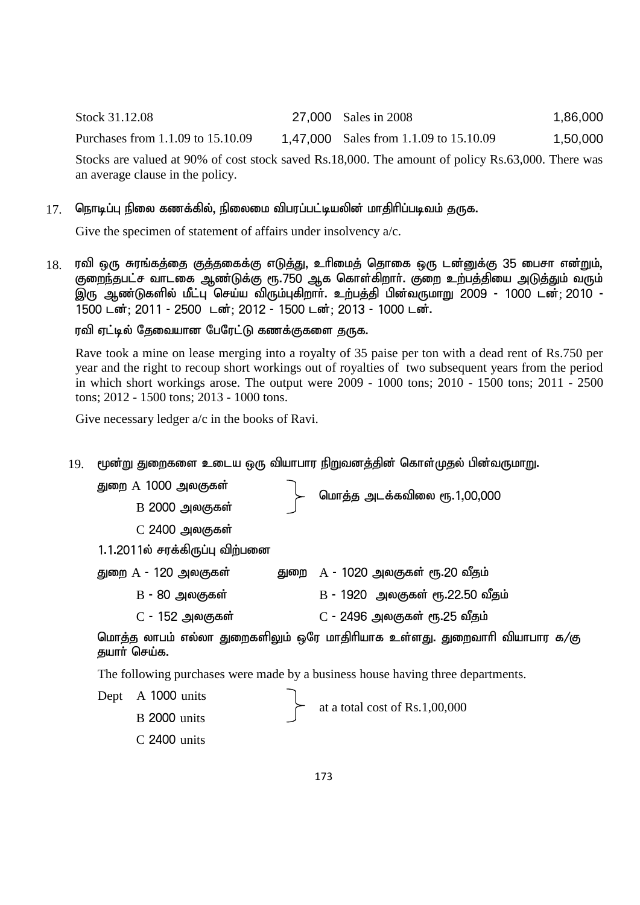Stock 31.12.08 27,000 Sales in 2008 1,86,000

Purchases from 1.1.09 to 15.10.09 1,47,000 Sales from 1.1.09 to 15.10.09 1,50,000

Stocks are valued at 90% of cost stock saved Rs.18,000. The amount of policy Rs.63,000. There was an average clause in the policy.

### $17$ . நொடிப்பு நிலை கணக்கில், நிலைமை விபரப்பட்டியலின் மாதிரிப்படிவம் தருக.

Give the specimen of statement of affairs under insolvency  $a/c$ .

 $18$ . ரவி ஒரு சுரங்கத்தை குத்தகைக்கு எடுத்து, உரிமைத் தொகை ஒரு டன்னுக்கு 35 பைசா என்றும், குறைந்தபட்ச வாடகை ஆண்டுக்கு ரூ.750 ஆக கொள்கிறாா். குறை உற்பத்தியை அடுத்தும் வரும் இரு ஆண்டுகளில் மீட்பு செய்ய விரும்புகிறாா். உற்பத்தி பின்வருமாறு 2009 - 1000 டன்; 2010 -1500 டன்; 2011 - 2500 டன்; 2012 - 1500 டன்; 2013 - 1000 டன்.

ரவி ஏட்டில் தேவையான பேரேட்டு கணக்குகளை தருக.

Rave took a mine on lease merging into a royalty of 35 paise per ton with a dead rent of Rs.750 per year and the right to recoup short workings out of royalties of two subsequent years from the period in which short workings arose. The output were 2009 - 1000 tons; 2010 - 1500 tons; 2011 - 2500 tons; 2012 - 1500 tons; 2013 - 1000 tons.

Give necessary ledger a/c in the books of Ravi.

 $19$ . மூன்று துறைகளை உடைய ஒரு வியாபார நிறுவனத்தின் கொள்முதல் பின்வருமாறு.

துறை A 1000 அலகுகள் $\begin{bmatrix} 1,000 & 0 \end{bmatrix}$  மாத்த அடக்கவிலை ரூ.1,00,000 B 2000 அலகுகள்  $C$  2400 அலகுகள் 1.1.2011ல் சரக்கிருப்பு விற்பனை துறை  $A$  - 120 அலகுகள் $\qquad \qquad$  துறை  $A$  - 1020 அலகுகள் ரூ.20 வீதம்  $B$  - 80 அலகுகள் B - 1920 அலகுகள் ரூ.22.50 வீதம்  $C$  - 152 அலகுகள்  $C$  - 2496 அலகுகள் ரூ.25 வீதம்

மொத்த லாபம் எல்லா துறைகளிலும் ஒரே மாதிரியாக உள்ளது. துறைவாரி வியாபார க/கு தயார் செய்க.

The following purchases were made by a business house having three departments.

Dept A 1000 units at a total cost of Rs.1,00,000 B 2000 units C 2400 units